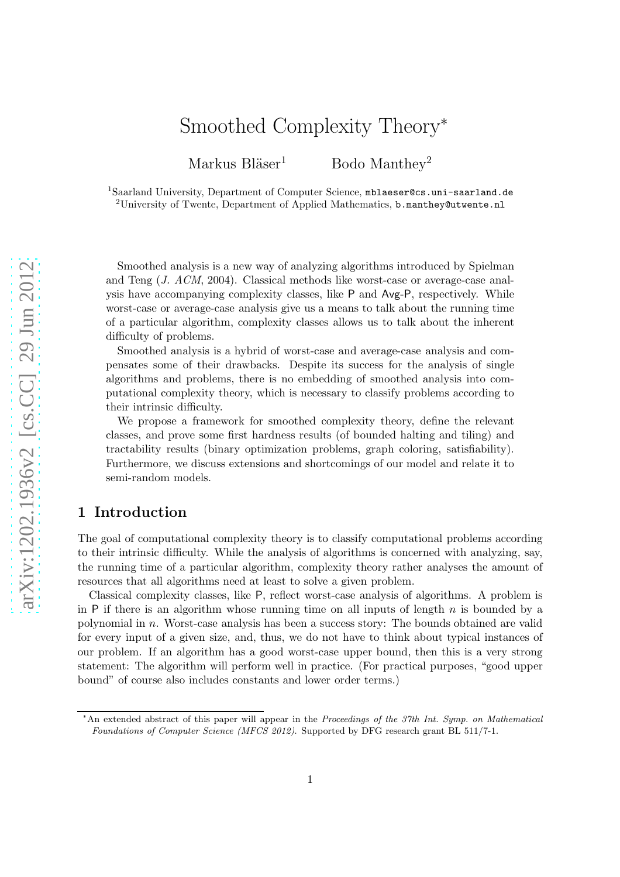# Smoothed Complexity Theory<sup>∗</sup>

Markus Bläser<sup>1</sup> Bodo Manthey<sup>2</sup>

<sup>1</sup>Saarland University, Department of Computer Science, mblaeser@cs.uni-saarland.de <sup>2</sup>University of Twente, Department of Applied Mathematics, b.manthey@utwente.nl

Smoothed analysis is a new way of analyzing algorithms introduced by Spielman and Teng (J. ACM, 2004). Classical methods like worst-case or average-case analysis have accompanying complexity classes, like P and Avg-P, respectively. While worst-case or average-case analysis give us a means to talk about the running time of a particular algorithm, complexity classes allows us to talk about the inherent difficulty of problems.

Smoothed analysis is a hybrid of worst-case and average-case analysis and compensates some of their drawbacks. Despite its success for the analysis of single algorithms and problems, there is no embedding of smoothed analysis into computational complexity theory, which is necessary to classify problems according to their intrinsic difficulty.

We propose a framework for smoothed complexity theory, define the relevant classes, and prove some first hardness results (of bounded halting and tiling) and tractability results (binary optimization problems, graph coloring, satisfiability). Furthermore, we discuss extensions and shortcomings of our model and relate it to semi-random models.

# 1 Introduction

The goal of computational complexity theory is to classify computational problems according to their intrinsic difficulty. While the analysis of algorithms is concerned with analyzing, say, the running time of a particular algorithm, complexity theory rather analyses the amount of resources that all algorithms need at least to solve a given problem.

Classical complexity classes, like P, reflect worst-case analysis of algorithms. A problem is in P if there is an algorithm whose running time on all inputs of length  $n$  is bounded by a polynomial in n. Worst-case analysis has been a success story: The bounds obtained are valid for every input of a given size, and, thus, we do not have to think about typical instances of our problem. If an algorithm has a good worst-case upper bound, then this is a very strong statement: The algorithm will perform well in practice. (For practical purposes, "good upper bound" of course also includes constants and lower order terms.)

<sup>∗</sup>An extended abstract of this paper will appear in the Proceedings of the 37th Int. Symp. on Mathematical Foundations of Computer Science (MFCS 2012). Supported by DFG research grant BL 511/7-1.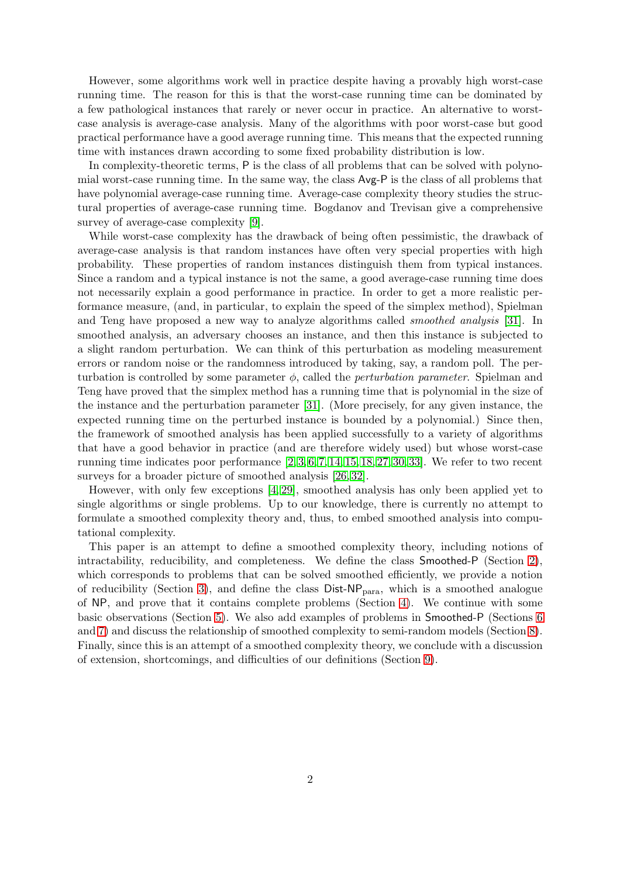However, some algorithms work well in practice despite having a provably high worst-case running time. The reason for this is that the worst-case running time can be dominated by a few pathological instances that rarely or never occur in practice. An alternative to worstcase analysis is average-case analysis. Many of the algorithms with poor worst-case but good practical performance have a good average running time. This means that the expected running time with instances drawn according to some fixed probability distribution is low.

In complexity-theoretic terms, P is the class of all problems that can be solved with polynomial worst-case running time. In the same way, the class Avg-P is the class of all problems that have polynomial average-case running time. Average-case complexity theory studies the structural properties of average-case running time. Bogdanov and Trevisan give a comprehensive survey of average-case complexity [\[9\]](#page-19-0).

While worst-case complexity has the drawback of being often pessimistic, the drawback of average-case analysis is that random instances have often very special properties with high probability. These properties of random instances distinguish them from typical instances. Since a random and a typical instance is not the same, a good average-case running time does not necessarily explain a good performance in practice. In order to get a more realistic performance measure, (and, in particular, to explain the speed of the simplex method), Spielman and Teng have proposed a new way to analyze algorithms called smoothed analysis [\[31\]](#page-21-0). In smoothed analysis, an adversary chooses an instance, and then this instance is subjected to a slight random perturbation. We can think of this perturbation as modeling measurement errors or random noise or the randomness introduced by taking, say, a random poll. The perturbation is controlled by some parameter  $\phi$ , called the *perturbation parameter*. Spielman and Teng have proved that the simplex method has a running time that is polynomial in the size of the instance and the perturbation parameter [\[31\]](#page-21-0). (More precisely, for any given instance, the expected running time on the perturbed instance is bounded by a polynomial.) Since then, the framework of smoothed analysis has been applied successfully to a variety of algorithms that have a good behavior in practice (and are therefore widely used) but whose worst-case running time indicates poor performance  $[2, 3, 6, 7, 14, 15, 18, 27, 30, 33]$  $[2, 3, 6, 7, 14, 15, 18, 27, 30, 33]$  $[2, 3, 6, 7, 14, 15, 18, 27, 30, 33]$  $[2, 3, 6, 7, 14, 15, 18, 27, 30, 33]$  $[2, 3, 6, 7, 14, 15, 18, 27, 30, 33]$  $[2, 3, 6, 7, 14, 15, 18, 27, 30, 33]$  $[2, 3, 6, 7, 14, 15, 18, 27, 30, 33]$  $[2, 3, 6, 7, 14, 15, 18, 27, 30, 33]$  $[2, 3, 6, 7, 14, 15, 18, 27, 30, 33]$  $[2, 3, 6, 7, 14, 15, 18, 27, 30, 33]$ . We refer to two recent surveys for a broader picture of smoothed analysis [\[26,](#page-20-4) [32\]](#page-21-3).

However, with only few exceptions [\[4,](#page-19-5) [29\]](#page-21-4), smoothed analysis has only been applied yet to single algorithms or single problems. Up to our knowledge, there is currently no attempt to formulate a smoothed complexity theory and, thus, to embed smoothed analysis into computational complexity.

This paper is an attempt to define a smoothed complexity theory, including notions of intractability, reducibility, and completeness. We define the class Smoothed-P (Section [2\)](#page-2-0), which corresponds to problems that can be solved smoothed efficiently, we provide a notion of reducibility (Section [3\)](#page-6-0), and define the class  $Dist-NP<sub>para</sub>$ , which is a smoothed analogue of NP, and prove that it contains complete problems (Section [4\)](#page-8-0). We continue with some basic observations (Section [5\)](#page-11-0). We also add examples of problems in Smoothed-P (Sections [6](#page-11-1) and [7\)](#page-16-0) and discuss the relationship of smoothed complexity to semi-random models (Section [8\)](#page-18-0). Finally, since this is an attempt of a smoothed complexity theory, we conclude with a discussion of extension, shortcomings, and difficulties of our definitions (Section [9\)](#page-18-1).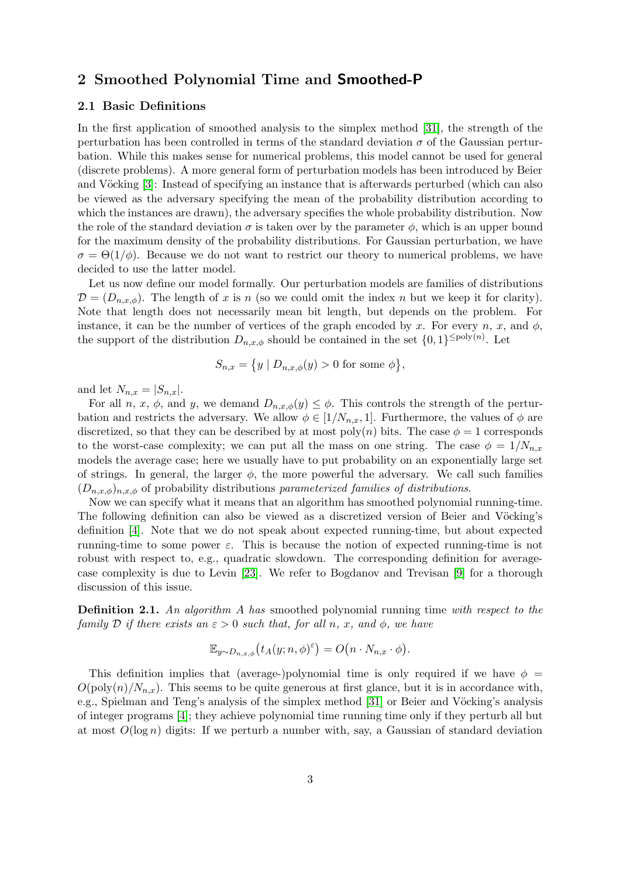# <span id="page-2-0"></span>2 Smoothed Polynomial Time and Smoothed-P

### 2.1 Basic Definitions

In the first application of smoothed analysis to the simplex method [\[31\]](#page-21-0), the strength of the perturbation has been controlled in terms of the standard deviation  $\sigma$  of the Gaussian perturbation. While this makes sense for numerical problems, this model cannot be used for general (discrete problems). A more general form of perturbation models has been introduced by Beier and Vöcking [\[3\]](#page-19-2): Instead of specifying an instance that is afterwards perturbed (which can also be viewed as the adversary specifying the mean of the probability distribution according to which the instances are drawn), the adversary specifies the whole probability distribution. Now the role of the standard deviation  $\sigma$  is taken over by the parameter  $\phi$ , which is an upper bound for the maximum density of the probability distributions. For Gaussian perturbation, we have  $\sigma = \Theta(1/\phi)$ . Because we do not want to restrict our theory to numerical problems, we have decided to use the latter model.

Let us now define our model formally. Our perturbation models are families of distributions  $\mathcal{D} = (D_{n,x,\phi})$ . The length of x is n (so we could omit the index n but we keep it for clarity). Note that length does not necessarily mean bit length, but depends on the problem. For instance, it can be the number of vertices of the graph encoded by x. For every n, x, and  $\phi$ , the support of the distribution  $D_{n,x,\phi}$  should be contained in the set  $\{0,1\}^{\leq \text{poly}(n)}$ . Let

$$
S_{n,x} = \{ y \mid D_{n,x,\phi}(y) > 0 \text{ for some } \phi \},
$$

and let  $N_{n,x} = |S_{n,x}|$ .

For all n, x,  $\phi$ , and y, we demand  $D_{n,x,\phi}(y) \leq \phi$ . This controls the strength of the perturbation and restricts the adversary. We allow  $\phi \in [1/N_{n,x}, 1]$ . Furthermore, the values of  $\phi$  are discretized, so that they can be described by at most poly $(n)$  bits. The case  $\phi = 1$  corresponds to the worst-case complexity; we can put all the mass on one string. The case  $\phi = 1/N_{n,x}$ models the average case; here we usually have to put probability on an exponentially large set of strings. In general, the larger  $\phi$ , the more powerful the adversary. We call such families  $(D_{n,x,\phi})_{n,x,\phi}$  of probability distributions parameterized families of distributions.

Now we can specify what it means that an algorithm has smoothed polynomial running-time. The following definition can also be viewed as a discretized version of Beier and Vöcking's definition [\[4\]](#page-19-5). Note that we do not speak about expected running-time, but about expected running-time to some power  $\varepsilon$ . This is because the notion of expected running-time is not robust with respect to, e.g., quadratic slowdown. The corresponding definition for averagecase complexity is due to Levin [\[23\]](#page-20-5). We refer to Bogdanov and Trevisan [\[9\]](#page-19-0) for a thorough discussion of this issue.

<span id="page-2-1"></span>**Definition 2.1.** An algorithm A has smoothed polynomial running time with respect to the family D if there exists an  $\varepsilon > 0$  such that, for all n, x, and  $\phi$ , we have

$$
\mathbb{E}_{y \sim D_{n,x,\phi}}(t_A(y;n,\phi)^\varepsilon) = O\big(n \cdot N_{n,x} \cdot \phi\big).
$$

This definition implies that (average-)polynomial time is only required if we have  $\phi =$  $O(poly(n)/N_{n,x})$ . This seems to be quite generous at first glance, but it is in accordance with, e.g., Spielman and Teng's analysis of the simplex method [\[31\]](#page-21-0) or Beier and Vöcking's analysis of integer programs [\[4\]](#page-19-5); they achieve polynomial time running time only if they perturb all but at most  $O(\log n)$  digits: If we perturb a number with, say, a Gaussian of standard deviation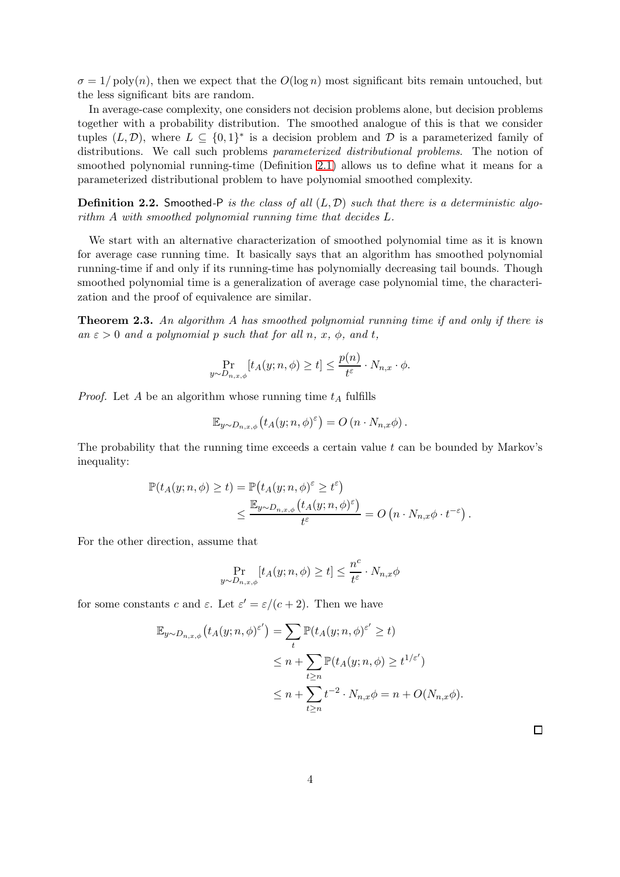$\sigma = 1/\text{poly}(n)$ , then we expect that the  $O(\log n)$  most significant bits remain untouched, but the less significant bits are random.

In average-case complexity, one considers not decision problems alone, but decision problems together with a probability distribution. The smoothed analogue of this is that we consider tuples  $(L, \mathcal{D})$ , where  $L \subseteq \{0,1\}^*$  is a decision problem and  $\mathcal D$  is a parameterized family of distributions. We call such problems parameterized distributional problems. The notion of smoothed polynomial running-time (Definition [2.1\)](#page-2-1) allows us to define what it means for a parameterized distributional problem to have polynomial smoothed complexity.

**Definition 2.2.** Smoothed-P is the class of all  $(L, D)$  such that there is a deterministic algorithm A with smoothed polynomial running time that decides L.

We start with an alternative characterization of smoothed polynomial time as it is known for average case running time. It basically says that an algorithm has smoothed polynomial running-time if and only if its running-time has polynomially decreasing tail bounds. Though smoothed polynomial time is a generalization of average case polynomial time, the characterization and the proof of equivalence are similar.

<span id="page-3-0"></span>**Theorem 2.3.** An algorithm A has smoothed polynomial running time if and only if there is an  $\varepsilon > 0$  and a polynomial p such that for all n, x,  $\phi$ , and t,

$$
\Pr_{y \sim D_{n,x,\phi}}[t_A(y;n,\phi) \ge t] \le \frac{p(n)}{t^{\varepsilon}} \cdot N_{n,x} \cdot \phi.
$$

*Proof.* Let A be an algorithm whose running time  $t_A$  fulfills

$$
\mathbb{E}_{y \sim D_{n,x,\phi}} \left( t_A(y;n,\phi)^\varepsilon \right) = O\left( n \cdot N_{n,x} \phi \right).
$$

The probability that the running time exceeds a certain value  $t$  can be bounded by Markov's inequality:

$$
\mathbb{P}(t_{A}(y;n,\phi) \geq t) = \mathbb{P}(t_{A}(y;n,\phi)^{\varepsilon} \geq t^{\varepsilon})
$$
  

$$
\leq \frac{\mathbb{E}_{y \sim D_{n,x,\phi}}(t_{A}(y;n,\phi)^{\varepsilon})}{t^{\varepsilon}} = O\left(n \cdot N_{n,x} \phi \cdot t^{-\varepsilon}\right).
$$

For the other direction, assume that

$$
\Pr_{y \sim D_{n,x,\phi}}[t_A(y;n,\phi) \ge t] \le \frac{n^c}{t^{\varepsilon}} \cdot N_{n,x}\phi
$$

for some constants c and  $\varepsilon$ . Let  $\varepsilon' = \varepsilon/(c+2)$ . Then we have

$$
\mathbb{E}_{y \sim D_{n,x,\phi}}(t_A(y;n,\phi)^{\varepsilon'}) = \sum_{t} \mathbb{P}(t_A(y;n,\phi)^{\varepsilon'} \ge t)
$$
  
\n
$$
\le n + \sum_{t \ge n} \mathbb{P}(t_A(y;n,\phi) \ge t^{1/\varepsilon'})
$$
  
\n
$$
\le n + \sum_{t \ge n} t^{-2} \cdot N_{n,x}\phi = n + O(N_{n,x}\phi).
$$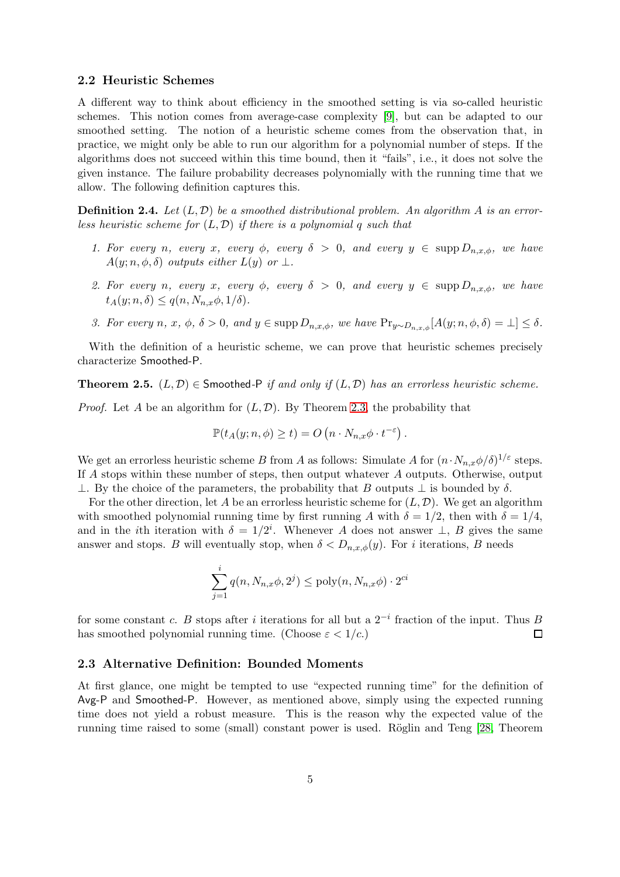#### 2.2 Heuristic Schemes

A different way to think about efficiency in the smoothed setting is via so-called heuristic schemes. This notion comes from average-case complexity [\[9\]](#page-19-0), but can be adapted to our smoothed setting. The notion of a heuristic scheme comes from the observation that, in practice, we might only be able to run our algorithm for a polynomial number of steps. If the algorithms does not succeed within this time bound, then it "fails", i.e., it does not solve the given instance. The failure probability decreases polynomially with the running time that we allow. The following definition captures this.

**Definition 2.4.** Let  $(L, \mathcal{D})$  be a smoothed distributional problem. An algorithm A is an errorless heuristic scheme for  $(L, \mathcal{D})$  if there is a polynomial q such that

- 1. For every n, every x, every  $\phi$ , every  $\delta > 0$ , and every  $y \in \text{supp } D_{n,x,\phi}$ , we have  $A(y; n, \phi, \delta)$  outputs either  $L(y)$  or  $\perp$ .
- 2. For every n, every x, every  $\phi$ , every  $\delta > 0$ , and every  $y \in \text{supp } D_{n,x,\phi}$ , we have  $t_A(y; n, \delta) \leq q(n, N_{n,x}\phi, 1/\delta).$
- 3. For every n, x,  $\phi$ ,  $\delta > 0$ , and  $y \in \text{supp } D_{n,x,\phi}$ , we have  $\Pr_{y \sim D_{n,x,\phi}}[A(y; n, \phi, \delta) = \bot] \leq \delta$ .

With the definition of a heuristic scheme, we can prove that heuristic schemes precisely characterize Smoothed-P.

**Theorem 2.5.**  $(L, \mathcal{D}) \in$  Smoothed-P if and only if  $(L, \mathcal{D})$  has an errorless heuristic scheme.

*Proof.* Let A be an algorithm for  $(L, \mathcal{D})$ . By Theorem [2.3,](#page-3-0) the probability that

$$
\mathbb{P}(t_A(y;n,\phi)\geq t)=O\left(n\cdot N_{n,x}\phi\cdot t^{-\varepsilon}\right).
$$

We get an errorless heuristic scheme B from A as follows: Simulate A for  $(n \cdot N_{n,x} \phi/\delta)^{1/\varepsilon}$  steps. If A stops within these number of steps, then output whatever A outputs. Otherwise, output ⊥. By the choice of the parameters, the probability that B outputs  $\bot$  is bounded by δ.

For the other direction, let A be an errorless heuristic scheme for  $(L, \mathcal{D})$ . We get an algorithm with smoothed polynomial running time by first running A with  $\delta = 1/2$ , then with  $\delta = 1/4$ , and in the *i*th iteration with  $\delta = 1/2^i$ . Whenever A does not answer  $\perp$ , B gives the same answer and stops. B will eventually stop, when  $\delta < D_{n,x,\phi}(y)$ . For i iterations, B needs

$$
\sum_{j=1}^{i} q(n, N_{n,x}\phi, 2^j) \le \text{poly}(n, N_{n,x}\phi) \cdot 2^{ci}
$$

for some constant c. B stops after i iterations for all but a  $2^{-i}$  fraction of the input. Thus B has smoothed polynomial running time. (Choose  $\varepsilon < 1/c$ .)  $\Box$ 

#### 2.3 Alternative Definition: Bounded Moments

At first glance, one might be tempted to use "expected running time" for the definition of Avg-P and Smoothed-P. However, as mentioned above, simply using the expected running time does not yield a robust measure. This is the reason why the expected value of the running time raised to some (small) constant power is used. Röglin and Teng [\[28,](#page-20-6) Theorem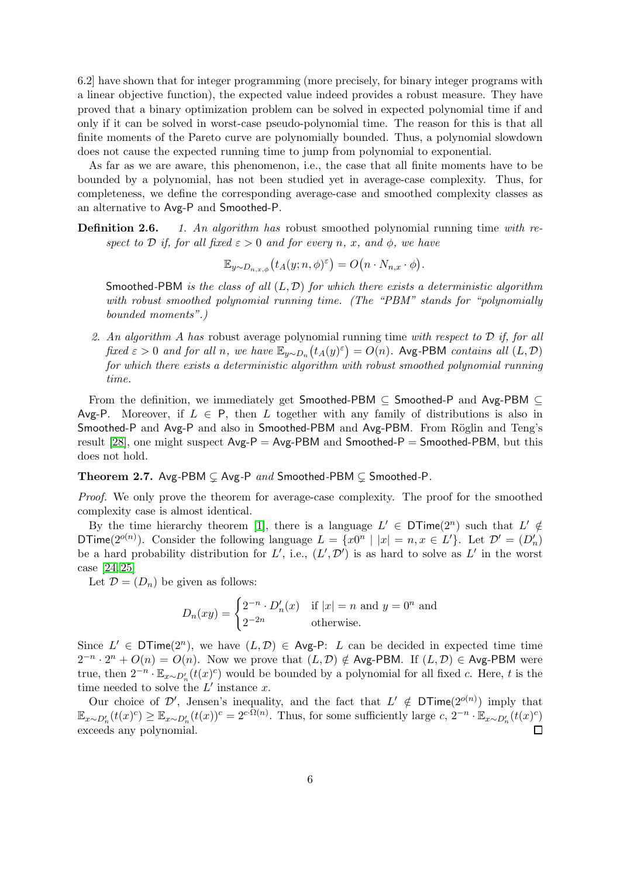6.2] have shown that for integer programming (more precisely, for binary integer programs with a linear objective function), the expected value indeed provides a robust measure. They have proved that a binary optimization problem can be solved in expected polynomial time if and only if it can be solved in worst-case pseudo-polynomial time. The reason for this is that all finite moments of the Pareto curve are polynomially bounded. Thus, a polynomial slowdown does not cause the expected running time to jump from polynomial to exponential.

As far as we are aware, this phenomenon, i.e., the case that all finite moments have to be bounded by a polynomial, has not been studied yet in average-case complexity. Thus, for completeness, we define the corresponding average-case and smoothed complexity classes as an alternative to Avg-P and Smoothed-P.

Definition 2.6. 1. An algorithm has robust smoothed polynomial running time with respect to D if, for all fixed  $\varepsilon > 0$  and for every n, x, and  $\phi$ , we have

$$
\mathbb{E}_{y \sim D_{n,x,\phi}}(t_A(y;n,\phi)^\varepsilon) = O\big(n \cdot N_{n,x} \cdot \phi\big).
$$

Smoothed-PBM is the class of all  $(L, \mathcal{D})$  for which there exists a deterministic algorithm with robust smoothed polynomial running time. (The "PBM" stands for "polynomially bounded moments".)

2. An algorithm A has robust average polynomial running time with respect to  $\mathcal D$  if, for all fixed  $\varepsilon > 0$  and for all n, we have  $\mathbb{E}_{y \sim D_n}(t_A(y)^{\varepsilon}) = O(n)$ . Avg-PBM contains all  $(L, \mathcal{D})$ for which there exists a deterministic algorithm with robust smoothed polynomial running time.

From the definition, we immediately get Smoothed-PBM ⊆ Smoothed-P and Avg-PBM ⊆ Avg-P. Moreover, if  $L \in P$ , then L together with any family of distributions is also in Smoothed-P and Avg-P and also in Smoothed-PBM and Avg-PBM. From Röglin and Teng's result [\[28\]](#page-20-6), one might suspect  $Avg-P = Avg-PBM$  and  $Smoothed-P = Smoothed-PBM$ , but this does not hold.

Theorem 2.7. Avg-PBM  $\subseteq$  Avg-P and Smoothed-PBM  $\subseteq$  Smoothed-P.

Proof. We only prove the theorem for average-case complexity. The proof for the smoothed complexity case is almost identical.

By the time hierarchy theorem [\[1\]](#page-19-6), there is a language  $L' \in \mathsf{DTime}(2^n)$  such that  $L' \notin$ DTime( $2^{o(n)}$ ). Consider the following language  $L = \{x0^n \mid |x| = n, x \in L'\}$ . Let  $\mathcal{D}' = (D'_n)$ be a hard probability distribution for  $L'$ , i.e.,  $(L', \mathcal{D}')$  is as hard to solve as  $L'$  in the worst case [\[24,](#page-20-7) [25\]](#page-20-8)

Let  $\mathcal{D} = (D_n)$  be given as follows:

$$
D_n(xy) = \begin{cases} 2^{-n} \cdot D'_n(x) & \text{if } |x| = n \text{ and } y = 0^n \text{ and} \\ 2^{-2n} & \text{otherwise.} \end{cases}
$$

Since  $L' \in \mathsf{DTime}(2^n)$ , we have  $(L, \mathcal{D}) \in \mathsf{Avg-P: L}$  can be decided in expected time time  $2^{-n} \cdot 2^n + O(n) = O(n)$ . Now we prove that  $(L, \mathcal{D}) \notin \text{Avg-PBM}$ . If  $(L, \mathcal{D}) \in \text{Avg-PBM}$  were true, then  $2^{-n} \cdot \mathbb{E}_{x \sim D'_n}(t(x)^c)$  would be bounded by a polynomial for all fixed c. Here, t is the time needed to solve the  $L'$  instance x.

Our choice of D', Jensen's inequality, and the fact that  $L' \notin \mathsf{DTime}(2^{o(n)})$  imply that  $\mathbb{E}_{x \sim D'_{n}}(t(x)^{c}) \geq \mathbb{E}_{x \sim D'_{n}}(t(x))^{c} = 2^{c \cdot \Omega(n)}$ . Thus, for some sufficiently large  $c, 2^{-n} \cdot \mathbb{E}_{x \sim D'_{n}}(t(x)^{c})$  $\Box$ exceeds any polynomial.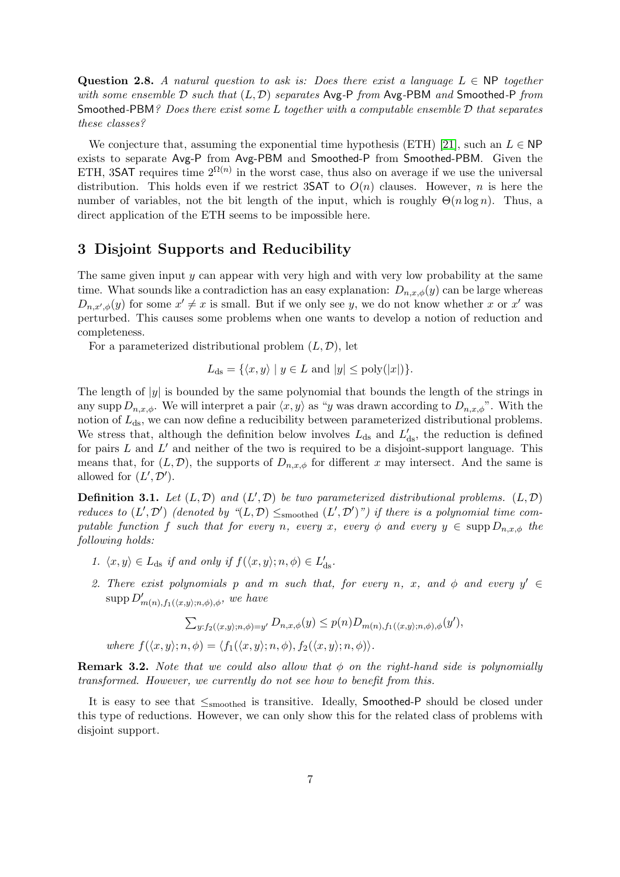Question 2.8. A natural question to ask is: Does there exist a language  $L \in \mathbb{NP}$  together with some ensemble  $\mathcal D$  such that  $(L, \mathcal D)$  separates Avg-P from Avg-PBM and Smoothed-P from Smoothed-PBM? Does there exist some L together with a computable ensemble  $D$  that separates these classes?

We conjecture that, assuming the exponential time hypothesis (ETH) [\[21\]](#page-20-9), such an  $L \in \mathsf{NP}$ exists to separate Avg-P from Avg-PBM and Smoothed-P from Smoothed-PBM. Given the ETH, 3SAT requires time  $2^{\Omega(n)}$  in the worst case, thus also on average if we use the universal distribution. This holds even if we restrict 3SAT to  $O(n)$  clauses. However, n is here the number of variables, not the bit length of the input, which is roughly  $\Theta(n \log n)$ . Thus, a direct application of the ETH seems to be impossible here.

## <span id="page-6-0"></span>3 Disjoint Supports and Reducibility

The same given input  $y$  can appear with very high and with very low probability at the same time. What sounds like a contradiction has an easy explanation:  $D_{n,x,\phi}(y)$  can be large whereas  $D_{n,x',\phi}(y)$  for some  $x' \neq x$  is small. But if we only see y, we do not know whether x or x' was perturbed. This causes some problems when one wants to develop a notion of reduction and completeness.

For a parameterized distributional problem  $(L, \mathcal{D})$ , let

$$
L_{\text{ds}} = \{ \langle x, y \rangle \mid y \in L \text{ and } |y| \le \text{poly}(|x|) \}.
$$

The length of  $|y|$  is bounded by the same polynomial that bounds the length of the strings in any supp  $D_{n,x,\phi}$ . We will interpret a pair  $\langle x, y \rangle$  as "y was drawn according to  $D_{n,x,\phi}$ ". With the notion of  $L_{ds}$ , we can now define a reducibility between parameterized distributional problems. We stress that, although the definition below involves  $L_{ds}$  and  $L'_{ds}$ , the reduction is defined for pairs  $L$  and  $L'$  and neither of the two is required to be a disjoint-support language. This means that, for  $(L, \mathcal{D})$ , the supports of  $D_{n,x,\phi}$  for different x may intersect. And the same is allowed for  $(L', \mathcal{D}')$ .

<span id="page-6-2"></span>**Definition 3.1.** Let  $(L, \mathcal{D})$  and  $(L', \mathcal{D})$  be two parameterized distributional problems.  $(L, \mathcal{D})$ reduces to  $(L',\mathcal{D}')$  (denoted by " $(L,\mathcal{D}) \leq_{\text{smoothed}} (L',\mathcal{D}')$ ") if there is a polynomial time computable function f such that for every n, every x, every  $\phi$  and every  $y \in \text{supp } D_{n,x,\phi}$  the following holds:

- <span id="page-6-1"></span>1.  $\langle x, y \rangle \in L_{ds}$  if and only if  $f(\langle x, y \rangle; n, \phi) \in L'_{ds}$ .
- 2. There exist polynomials p and m such that, for every n, x, and  $\phi$  and every  $y' \in$  $\mathrm{supp} D'_{m(n),f_1(\langle x,y \rangle;n,\phi),\phi},$  we have

$$
\sum_{y:f_2(\langle x,y\rangle;n,\phi)=y'} D_{n,x,\phi}(y) \le p(n)D_{m(n),f_1(\langle x,y\rangle;n,\phi),\phi}(y'),
$$

where  $f(\langle x, y \rangle; n, \phi) = \langle f_1(\langle x, y \rangle; n, \phi), f_2(\langle x, y \rangle; n, \phi) \rangle$ .

**Remark 3.2.** Note that we could also allow that  $\phi$  on the right-hand side is polynomially transformed. However, we currently do not see how to benefit from this.

It is easy to see that  $\leq_{smoothed}$  is transitive. Ideally, Smoothed-P should be closed under this type of reductions. However, we can only show this for the related class of problems with disjoint support.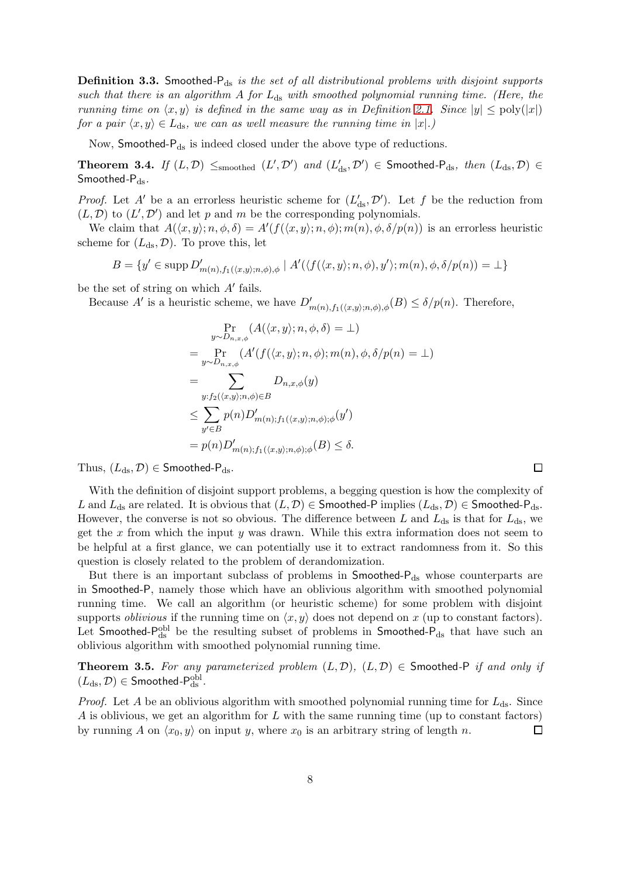**Definition 3.3.** Smoothed- $P_{ds}$  is the set of all distributional problems with disjoint supports such that there is an algorithm A for  $L_{ds}$  with smoothed polynomial running time. (Here, the running time on  $\langle x, y \rangle$  is defined in the same way as in Definition [2.1.](#page-2-1) Since  $|y| \leq \text{poly}(|x|)$ for a pair  $\langle x, y \rangle \in L_{ds}$ , we can as well measure the running time in  $|x|$ .)

Now, Smoothed-Pds is indeed closed under the above type of reductions.

**Theorem 3.4.** If  $(L, \mathcal{D})$   $\leq$ <sub>smoothed</sub>  $(L', \mathcal{D}')$  and  $(L'_{ds}, \mathcal{D}') \in$  Smoothed-P<sub>ds</sub>, then  $(L_{ds}, \mathcal{D}) \in$ Smoothed- $P_{ds}$ .

*Proof.* Let A' be a an errorless heuristic scheme for  $(L'_{ds}, \mathcal{D}')$ . Let f be the reduction from  $(L, \mathcal{D})$  to  $(L', \mathcal{D}')$  and let p and m be the corresponding polynomials.

We claim that  $A(\langle x, y \rangle; n, \phi, \delta) = A'(f(\langle x, y \rangle; n, \phi); m(n), \phi, \delta/p(n))$  is an errorless heuristic scheme for  $(L_{ds}, \mathcal{D})$ . To prove this, let

$$
B = \{ y' \in \text{supp } D'_{m(n),f_1(\langle x,y \rangle;n,\phi),\phi} \mid A'(\langle f(\langle x,y \rangle;n,\phi),y' \rangle;m(n),\phi,\delta/p(n)) = \bot \}
$$

be the set of string on which A′ fails.

Because A' is a heuristic scheme, we have  $D'_{m(n),f_1(\langle x,y\rangle;n,\phi),\phi}(B) \leq \delta/p(n)$ . Therefore,

$$
\Pr_{y \sim D_{n,x,\phi}}(A(\langle x, y \rangle; n, \phi, \delta) = \bot)
$$
\n
$$
= \Pr_{y \sim D_{n,x,\phi}}(A'(f(\langle x, y \rangle; n, \phi); m(n), \phi, \delta/p(n) = \bot)
$$
\n
$$
= \sum_{y: f_2(\langle x, y \rangle; n, \phi) \in B} D_{n,x,\phi}(y)
$$
\n
$$
\leq \sum_{y' \in B} p(n) D'_{m(n); f_1(\langle x, y \rangle; n, \phi); \phi}(y')
$$
\n
$$
= p(n) D'_{m(n); f_1(\langle x, y \rangle; n, \phi); \phi}(B) \leq \delta.
$$

Thus,  $(L_{ds}, \mathcal{D}) \in$  Smoothed-P<sub>ds</sub>.

With the definition of disjoint support problems, a begging question is how the complexity of L and  $L_{ds}$  are related. It is obvious that  $(L, \mathcal{D}) \in$  Smoothed-P implies  $(L_{ds}, \mathcal{D}) \in$  Smoothed-P<sub>ds</sub>. However, the converse is not so obvious. The difference between L and  $L_{ds}$  is that for  $L_{ds}$ , we get the x from which the input y was drawn. While this extra information does not seem to be helpful at a first glance, we can potentially use it to extract randomness from it. So this question is closely related to the problem of derandomization.

 $\Box$ 

But there is an important subclass of problems in  $S$ moothed- $P_{ds}$  whose counterparts are in Smoothed-P, namely those which have an oblivious algorithm with smoothed polynomial running time. We call an algorithm (or heuristic scheme) for some problem with disjoint supports *oblivious* if the running time on  $\langle x, y \rangle$  does not depend on x (up to constant factors). Let Smoothed- $P_{ds}^{obl}$  be the resulting subset of problems in Smoothed- $P_{ds}$  that have such an oblivious algorithm with smoothed polynomial running time.

**Theorem 3.5.** For any parameterized problem  $(L, \mathcal{D})$ ,  $(L, \mathcal{D}) \in S$  moothed-P if and only if  $(L_{ds}, \mathcal{D}) \in \mathsf{Smoothed\text{-}P}_{\text{ds}}^{\text{obl}}.$ 

*Proof.* Let A be an oblivious algorithm with smoothed polynomial running time for  $L_{ds}$ . Since  $A$  is oblivious, we get an algorithm for  $L$  with the same running time (up to constant factors) by running A on  $\langle x_0, y \rangle$  on input y, where  $x_0$  is an arbitrary string of length n.  $\Box$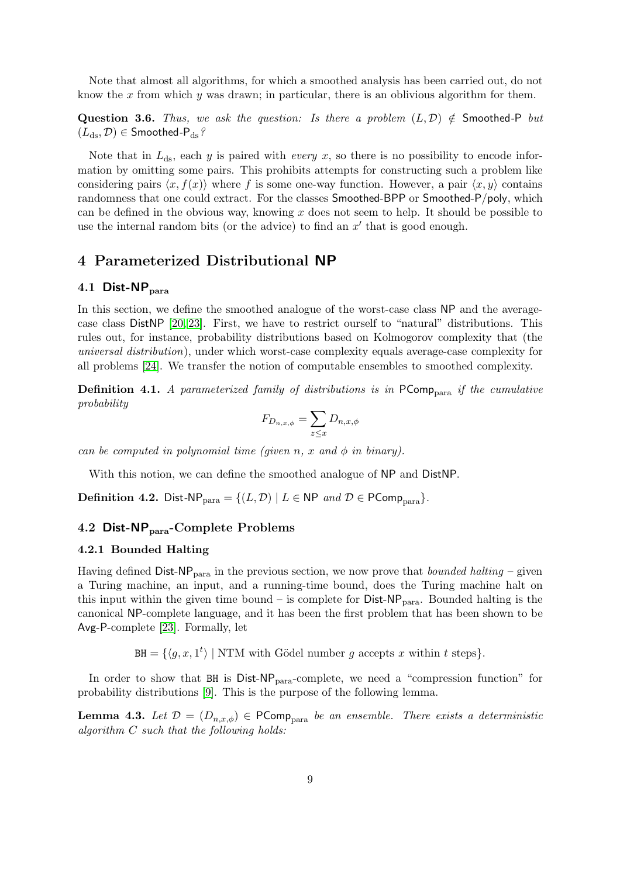Note that almost all algorithms, for which a smoothed analysis has been carried out, do not know the x from which  $y$  was drawn; in particular, there is an oblivious algorithm for them.

Question 3.6. Thus, we ask the question: Is there a problem  $(L, \mathcal{D}) \notin S$  moothed-P but  $(L_{ds}, \mathcal{D}) \in$  Smoothed-P<sub>ds</sub>?

Note that in  $L_{ds}$ , each y is paired with *every x*, so there is no possibility to encode information by omitting some pairs. This prohibits attempts for constructing such a problem like considering pairs  $\langle x, f(x) \rangle$  where f is some one-way function. However, a pair  $\langle x, y \rangle$  contains randomness that one could extract. For the classes Smoothed-BPP or Smoothed-P/poly, which can be defined in the obvious way, knowing  $x$  does not seem to help. It should be possible to use the internal random bits (or the advice) to find an  $x'$  that is good enough.

## <span id="page-8-0"></span>4 Parameterized Distributional NP

#### 4.1 Dist- $\mathsf{NP}_{\text{para}}$

In this section, we define the smoothed analogue of the worst-case class NP and the averagecase class DistNP [\[20,](#page-20-10) [23\]](#page-20-5). First, we have to restrict ourself to "natural" distributions. This rules out, for instance, probability distributions based on Kolmogorov complexity that (the universal distribution), under which worst-case complexity equals average-case complexity for all problems [\[24\]](#page-20-7). We transfer the notion of computable ensembles to smoothed complexity.

**Definition 4.1.** A parameterized family of distributions is in  $PComp<sub>para</sub>$  if the cumulative probability

$$
F_{D_{n,x,\phi}} = \sum_{z \le x} D_{n,x,\phi}
$$

can be computed in polynomial time (given n, x and  $\phi$  in binary).

With this notion, we can define the smoothed analogue of NP and DistNP.

**Definition 4.2.** Dist-NP<sub>para</sub> = { $(L, \mathcal{D}) | L \in \mathbb{NP}$  and  $\mathcal{D} \in \mathsf{PComp}_{\text{para}}$  }.

#### 4.2 Dist- $NP<sub>para</sub>$ -Complete Problems

#### 4.2.1 Bounded Halting

Having defined  $Dist-NP<sub>para</sub>$  in the previous section, we now prove that *bounded halting* – given a Turing machine, an input, and a running-time bound, does the Turing machine halt on this input within the given time bound – is complete for  $Dist-NP_{para}$ . Bounded halting is the canonical NP-complete language, and it has been the first problem that has been shown to be Avg-P-complete [\[23\]](#page-20-5). Formally, let

 $\text{BH} = \{ \langle g, x, 1^t \rangle \mid \text{NTM with Gödel number } g \text{ accepts } x \text{ within } t \text{ steps} \}.$ 

In order to show that  $BH$  is  $Dist-NP<sub>para</sub>-complete$ , we need a "compression function" for probability distributions [\[9\]](#page-19-0). This is the purpose of the following lemma.

**Lemma 4.3.** Let  $\mathcal{D} = (D_{n,x,\phi}) \in \mathsf{PComp}_{\text{para}}$  be an ensemble. There exists a deterministic algorithm C such that the following holds: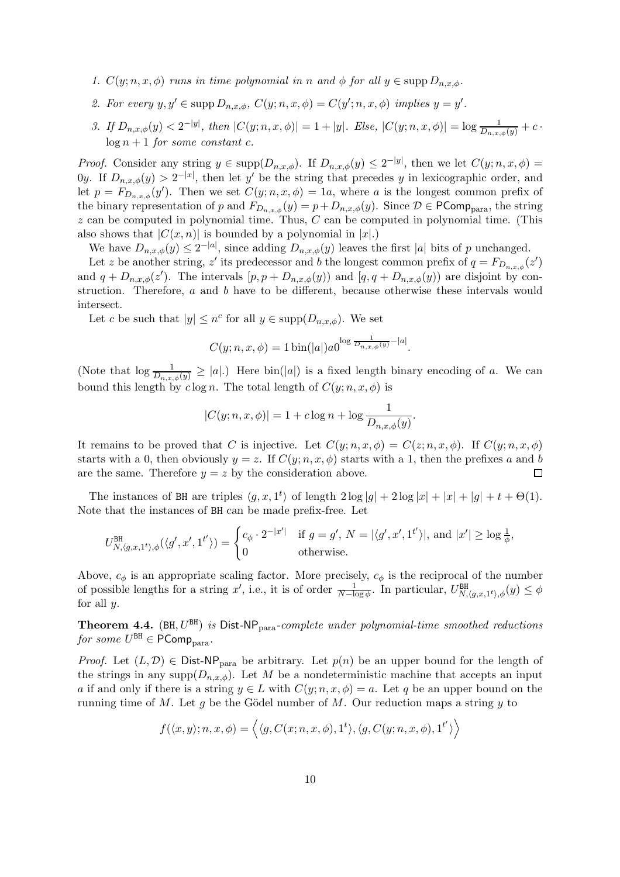- 1.  $C(y; n, x, \phi)$  runs in time polynomial in n and  $\phi$  for all  $y \in \text{supp } D_{n,x,\phi}$ .
- 2. For every  $y, y' \in \text{supp } D_{n,x,\phi}, C(y; n, x, \phi) = C(y'; n, x, \phi)$  implies  $y = y'$ .
- 3. If  $D_{n,x,\phi}(y) < 2^{-|y|}$ , then  $|C(y;n,x,\phi)| = 1 + |y|$ . Else,  $|C(y;n,x,\phi)| = \log \frac{1}{D_{n,x,\phi}(y)} + c$ .  $\log n + 1$  for some constant c.

*Proof.* Consider any string  $y \in \text{supp}(D_{n,x,\phi})$ . If  $D_{n,x,\phi}(y) \leq 2^{-|y|}$ , then we let  $C(y; n, x, \phi) =$ 0y. If  $D_{n,x,\phi}(y) > 2^{-|x|}$ , then let y' be the string that precedes y in lexicographic order, and let  $p = F_{D_{n,x,\phi}}(y')$ . Then we set  $C(y; n, x, \phi) = 1a$ , where a is the longest common prefix of the binary representation of p and  $F_{D_{n,x,\phi}}(y) = p + D_{n,x,\phi}(y)$ . Since  $\mathcal{D} \in \mathsf{PComp}_{\text{para}}$ , the string  $z$  can be computed in polynomial time. Thus,  $C$  can be computed in polynomial time. (This also shows that  $|C(x, n)|$  is bounded by a polynomial in  $|x|$ .

We have  $D_{n,x,\phi}(y) \leq 2^{-|a|}$ , since adding  $D_{n,x,\phi}(y)$  leaves the first |a| bits of p unchanged.

Let z be another string, z' its predecessor and b the longest common prefix of  $q = F_{D_{n,x,\phi}}(z')$ and  $q + D_{n,x,\phi}(z')$ . The intervals  $[p, p + D_{n,x,\phi}(y)]$  and  $[q, q + D_{n,x,\phi}(y)]$  are disjoint by construction. Therefore, a and b have to be different, because otherwise these intervals would intersect.

Let c be such that  $|y| \leq n^c$  for all  $y \in \text{supp}(D_{n,x,\phi})$ . We set

$$
C(y; n, x, \phi) = 1 \sin(|a|) a 0^{\log \frac{1}{D_{n,x,\phi}(y)} - |a|}.
$$

(Note that  $\log \frac{1}{D_{n,x,\phi}(y)} \geq |a|$ .) Here  $\text{bin}(|a|)$  is a fixed length binary encoding of a. We can bound this length by  $c \log n$ . The total length of  $C(y; n, x, \phi)$  is

$$
|C(y; n, x, \phi)| = 1 + c \log n + \log \frac{1}{D_{n, x, \phi}(y)}.
$$

It remains to be proved that C is injective. Let  $C(y; n, x, \phi) = C(z; n, x, \phi)$ . If  $C(y; n, x, \phi)$ starts with a 0, then obviously  $y = z$ . If  $C(y; n, x, \phi)$  starts with a 1, then the prefixes a and b are the same. Therefore  $y = z$  by the consideration above.  $\Box$ 

The instances of BH are triples  $\langle g, x, 1^t \rangle$  of length  $2 \log |g| + 2 \log |x| + |x| + |g| + t + \Theta(1)$ . Note that the instances of BH can be made prefix-free. Let

$$
U^{\text{BH}}_{N,\langle g,x,1^t\rangle,\phi}(\langle g',x',1^{t'}\rangle)=\begin{cases}c_\phi\cdot 2^{-|x'|}&\text{if }g=g',\,N=|\langle g',x',1^{t'}\rangle|,\text{ and }|x'|\geq \log \frac{1}{\phi},\\0&\text{otherwise.}\end{cases}
$$

Above,  $c_{\phi}$  is an appropriate scaling factor. More precisely,  $c_{\phi}$  is the reciprocal of the number of possible lengths for a string x', i.e., it is of order  $\frac{1}{N-\log \phi}$ . In particular,  $U^{\text{BH}}_{N,(g,x,1^t),\phi}(y) \leq \phi$ for all  $y$ .

Theorem 4.4. (BH,  $U^{\text{BH}}$ ) is Dist-NP<sub>para</sub>-complete under polynomial-time smoothed reductions for some  $U^{\texttt{BH}}\in\mathsf{PComp}_{\text{para}}.$ 

*Proof.* Let  $(L, \mathcal{D}) \in \text{Dist-NP}_{\text{para}}$  be arbitrary. Let  $p(n)$  be an upper bound for the length of the strings in any supp $(D_{n,x,\phi})$ . Let M be a nondeterministic machine that accepts an input a if and only if there is a string  $y \in L$  with  $C(y; n, x, \phi) = a$ . Let q be an upper bound on the running time of M. Let q be the Gödel number of M. Our reduction maps a string  $y$  to

$$
f(\langle x, y \rangle; n, x, \phi) = \langle \langle g, C(x; n, x, \phi), 1^t \rangle, \langle g, C(y; n, x, \phi), 1^{t'} \rangle \rangle
$$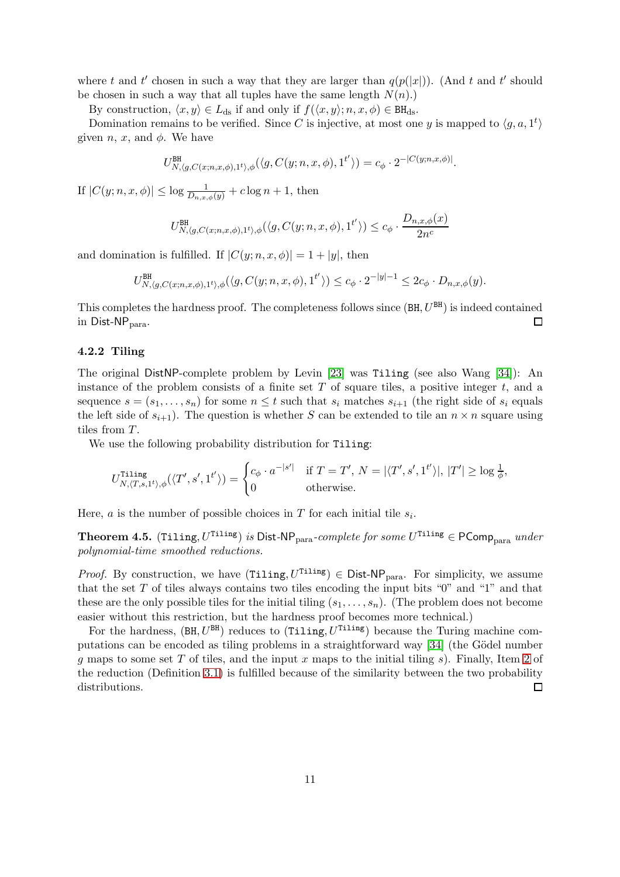where t and t' chosen in such a way that they are larger than  $q(p(|x|))$ . (And t and t' should be chosen in such a way that all tuples have the same length  $N(n)$ .)

By construction,  $\langle x, y \rangle \in L_{ds}$  if and only if  $f(\langle x, y \rangle; n, x, \phi) \in BH_{ds}$ .

Domination remains to be verified. Since C is injective, at most one y is mapped to  $\langle g, a, 1^t \rangle$ given *n*, *x*, and  $\phi$ . We have

$$
U^{\rm BH}_{N,\langle g,C(x;n,x,\phi),1^t\rangle,\phi}(\langle g,C(y;n,x,\phi),1^{t'}\rangle)=c_{\phi}\cdot 2^{-|C(y;n,x,\phi)|}.
$$

If  $|C(y; n, x, \phi)| \leq \log \frac{1}{D_{n,x,\phi}(y)} + c \log n + 1$ , then

$$
U^{\rm BH}_{N,(g,C(x;n,x,\phi),1^t),\phi}(\langle g,C(y;n,x,\phi),1^{t'} \rangle) \leq c_{\phi} \cdot \frac{D_{n,x,\phi}(x)}{2n^c}
$$

and domination is fulfilled. If  $|C(y; n, x, \phi)| = 1 + |y|$ , then

$$
U^{\rm BH}_{N,\langle g,C(x;n,x,\phi),1^t\rangle,\phi}(\langle g,C(y;n,x,\phi),1^{t'}\rangle)\leq c_{\phi}\cdot 2^{-|y|-1}\leq 2c_{\phi}\cdot D_{n,x,\phi}(y).
$$

This completes the hardness proof. The completeness follows since  $(BH, U^{BH})$  is indeed contained  $\Box$ in  $Dist-NP_{para}$ .

#### 4.2.2 Tiling

The original DistNP-complete problem by Levin [\[23\]](#page-20-5) was Tiling (see also Wang [\[34\]](#page-21-5)): An instance of the problem consists of a finite set  $T$  of square tiles, a positive integer  $t$ , and a sequence  $s = (s_1, \ldots, s_n)$  for some  $n \leq t$  such that  $s_i$  matches  $s_{i+1}$  (the right side of  $s_i$  equals the left side of  $s_{i+1}$ ). The question is whether S can be extended to tile an  $n \times n$  square using tiles from T.

We use the following probability distribution for Tiling:

$$
U^{\text{Tiling}}_{N,\langle T,s,1^t\rangle,\phi}(\langle T',s',1^{t'}\rangle)=\begin{cases}c_\phi\cdot a^{-|s'|}&\text{if }T=T',\,N=|\langle T',s',1^{t'}\rangle|,\,|T'|\geq \log \frac{1}{\phi},\\0&\text{otherwise.}\end{cases}
$$

Here, *a* is the number of possible choices in  $T$  for each initial tile  $s_i$ .

**Theorem 4.5.** (Tiling,  $U^{\text{Tiling}}$ ) is Dist-NP<sub>para</sub>-complete for some  $U^{\text{Tiling}} \in \text{PComp}_{\text{para}}$  under polynomial-time smoothed reductions.

*Proof.* By construction, we have  $(Tiling, U^{Tiling}) \in Dist-NP_{para}$ . For simplicity, we assume that the set  $T$  of tiles always contains two tiles encoding the input bits " $0$ " and "1" and that these are the only possible tiles for the initial tiling  $(s_1, \ldots, s_n)$ . (The problem does not become easier without this restriction, but the hardness proof becomes more technical.)

For the hardness,  $(BH, U^{BH})$  reduces to (Tiling,  $U^{Tiling}$ ) because the Turing machine com-putations can be encoded as tiling problems in a straightforward way [\[34\]](#page-21-5) (the Gödel number g maps to some set T of tiles, and the input x maps to the initial tiling s). Finally, Item [2](#page-6-1) of the reduction (Definition [3.1\)](#page-6-2) is fulfilled because of the similarity between the two probability distributions.  $\Box$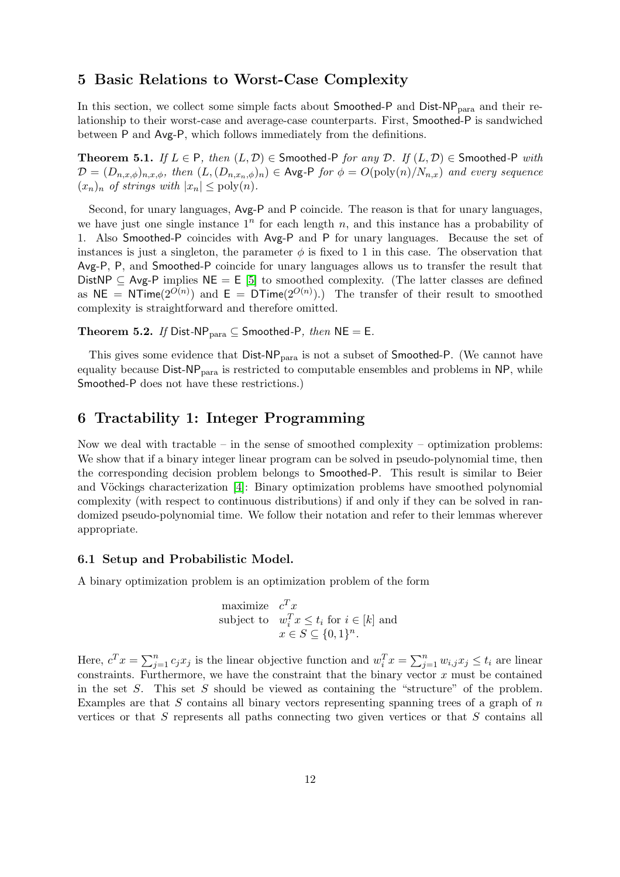## <span id="page-11-0"></span>5 Basic Relations to Worst-Case Complexity

In this section, we collect some simple facts about Smoothed-P and Dist-NP<sub>para</sub> and their relationship to their worst-case and average-case counterparts. First, Smoothed-P is sandwiched between P and Avg-P, which follows immediately from the definitions.

**Theorem 5.1.** If  $L \in P$ , then  $(L, \mathcal{D}) \in S$  moothed-P for any  $\mathcal{D}$ . If  $(L, \mathcal{D}) \in S$  moothed-P with  $\mathcal{D} = (D_{n,x,\phi})_{n,x,\phi},$  then  $(L,(D_{n,x_n,\phi})_n) \in \text{Avg-P}$  for  $\phi = O(\text{poly}(n)/N_{n,x})$  and every sequence  $(x_n)_n$  of strings with  $|x_n| \leq \text{poly}(n)$ .

Second, for unary languages, Avg-P and P coincide. The reason is that for unary languages, we have just one single instance  $1^n$  for each length n, and this instance has a probability of 1. Also Smoothed-P coincides with Avg-P and P for unary languages. Because the set of instances is just a singleton, the parameter  $\phi$  is fixed to 1 in this case. The observation that Avg-P, P, and Smoothed-P coincide for unary languages allows us to transfer the result that DistNP  $\subseteq$  Avg-P implies NE = E [\[5\]](#page-19-7) to smoothed complexity. (The latter classes are defined as NE = NTime( $2^{O(n)}$ ) and E = DTime( $2^{O(n)}$ ).) The transfer of their result to smoothed complexity is straightforward and therefore omitted.

Theorem 5.2. If Dist-NP<sub>para</sub>  $\subseteq$  Smoothed-P, then NE = E.

This gives some evidence that  $Dist-NP_{para}$  is not a subset of Smoothed-P. (We cannot have equality because  $Dist-NP<sub>para</sub>$  is restricted to computable ensembles and problems in NP, while Smoothed-P does not have these restrictions.)

## <span id="page-11-1"></span>6 Tractability 1: Integer Programming

Now we deal with tractable – in the sense of smoothed complexity – optimization problems: We show that if a binary integer linear program can be solved in pseudo-polynomial time, then the corresponding decision problem belongs to Smoothed-P. This result is similar to Beier and Vöckings characterization [\[4\]](#page-19-5): Binary optimization problems have smoothed polynomial complexity (with respect to continuous distributions) if and only if they can be solved in randomized pseudo-polynomial time. We follow their notation and refer to their lemmas wherever appropriate.

#### 6.1 Setup and Probabilistic Model.

A binary optimization problem is an optimization problem of the form

maximize  $c^T x$ subject to  $w_i^T x \leq t_i$  for  $i \in [k]$  and  $x \in S \subseteq \{0,1\}^n$ .

Here,  $c^T x = \sum_{j=1}^n c_j x_j$  is the linear objective function and  $w_i^T x = \sum_{j=1}^n w_{i,j} x_j \le t_i$  are linear constraints. Furthermore, we have the constraint that the binary vector  $x$  must be contained in the set  $S$ . This set  $S$  should be viewed as containing the "structure" of the problem. Examples are that  $S$  contains all binary vectors representing spanning trees of a graph of  $n$ vertices or that  $S$  represents all paths connecting two given vertices or that  $S$  contains all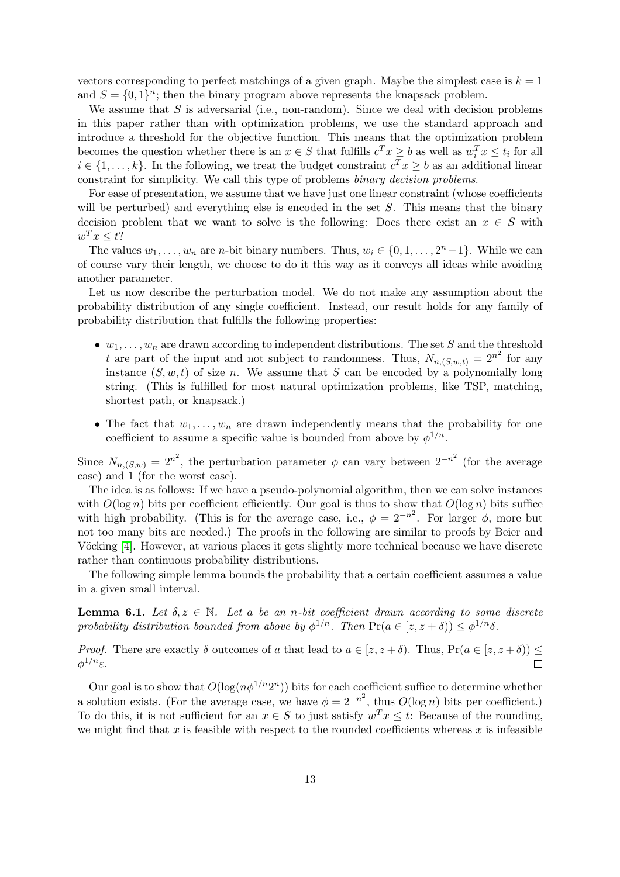vectors corresponding to perfect matchings of a given graph. Maybe the simplest case is  $k = 1$ and  $S = \{0, 1\}^n$ ; then the binary program above represents the knapsack problem.

We assume that  $S$  is adversarial (i.e., non-random). Since we deal with decision problems in this paper rather than with optimization problems, we use the standard approach and introduce a threshold for the objective function. This means that the optimization problem becomes the question whether there is an  $x \in S$  that fulfills  $c^T x \geq b$  as well as  $w_i^T x \leq t_i$  for all  $i \in \{1, \ldots, k\}$ . In the following, we treat the budget constraint  $c^T x \geq b$  as an additional linear constraint for simplicity. We call this type of problems binary decision problems.

For ease of presentation, we assume that we have just one linear constraint (whose coefficients will be perturbed) and everything else is encoded in the set  $S$ . This means that the binary decision problem that we want to solve is the following: Does there exist an  $x \in S$  with  $w^T x \leq t$ ?

The values  $w_1, \ldots, w_n$  are *n*-bit binary numbers. Thus,  $w_i \in \{0, 1, \ldots, 2^n - 1\}$ . While we can of course vary their length, we choose to do it this way as it conveys all ideas while avoiding another parameter.

Let us now describe the perturbation model. We do not make any assumption about the probability distribution of any single coefficient. Instead, our result holds for any family of probability distribution that fulfills the following properties:

- $w_1, \ldots, w_n$  are drawn according to independent distributions. The set S and the threshold t are part of the input and not subject to randomness. Thus,  $N_{n,(S,w,t)} = 2^{n^2}$  for any instance  $(S, w, t)$  of size n. We assume that S can be encoded by a polynomially long string. (This is fulfilled for most natural optimization problems, like TSP, matching, shortest path, or knapsack.)
- The fact that  $w_1, \ldots, w_n$  are drawn independently means that the probability for one coefficient to assume a specific value is bounded from above by  $\phi^{1/n}$ .

Since  $N_{n,(S,w)} = 2^{n^2}$ , the perturbation parameter  $\phi$  can vary between  $2^{-n^2}$  (for the average case) and 1 (for the worst case).

The idea is as follows: If we have a pseudo-polynomial algorithm, then we can solve instances with  $O(\log n)$  bits per coefficient efficiently. Our goal is thus to show that  $O(\log n)$  bits suffice with high probability. (This is for the average case, i.e.,  $\phi = 2^{-n^2}$ . For larger  $\phi$ , more but not too many bits are needed.) The proofs in the following are similar to proofs by Beier and Vöcking [\[4\]](#page-19-5). However, at various places it gets slightly more technical because we have discrete rather than continuous probability distributions.

The following simple lemma bounds the probability that a certain coefficient assumes a value in a given small interval.

**Lemma 6.1.** Let  $\delta, z \in \mathbb{N}$ . Let a be an n-bit coefficient drawn according to some discrete probability distribution bounded from above by  $\phi^{1/n}$ . Then  $Pr(a \in [z, z + \delta)) \leq \phi^{1/n}\delta$ .

*Proof.* There are exactly  $\delta$  outcomes of a that lead to  $a \in [z, z + \delta)$ . Thus,  $Pr(a \in [z, z + \delta)) \le$  $\phi^{1/n}$ ε.

Our goal is to show that  $O(\log(n\phi^{1/n}2^n))$  bits for each coefficient suffice to determine whether a solution exists. (For the average case, we have  $\phi = 2^{-n^2}$ , thus  $O(\log n)$  bits per coefficient.) To do this, it is not sufficient for an  $x \in S$  to just satisfy  $w^T x \leq t$ : Because of the rounding, we might find that  $x$  is feasible with respect to the rounded coefficients whereas  $x$  is infeasible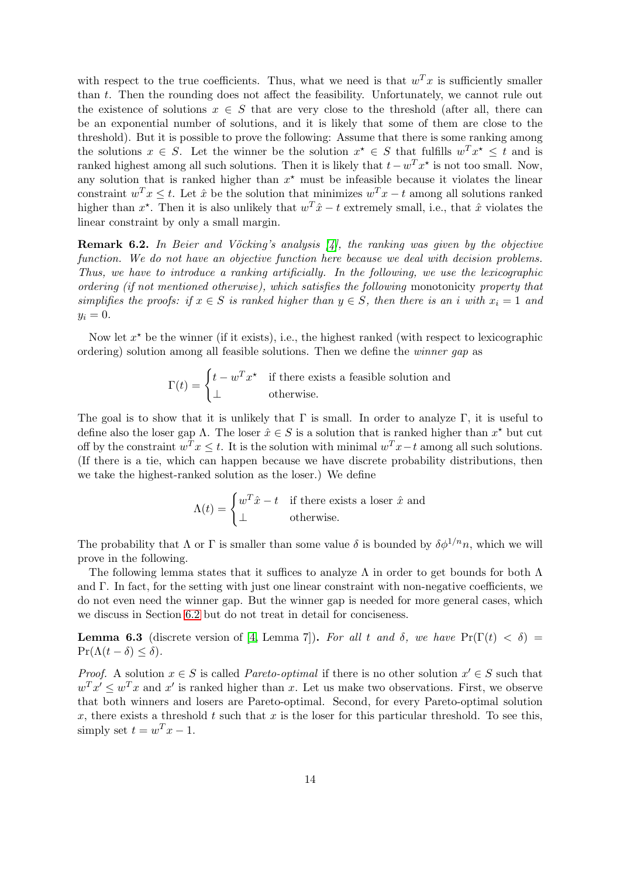with respect to the true coefficients. Thus, what we need is that  $w^T x$  is sufficiently smaller than t. Then the rounding does not affect the feasibility. Unfortunately, we cannot rule out the existence of solutions  $x \in S$  that are very close to the threshold (after all, there can be an exponential number of solutions, and it is likely that some of them are close to the threshold). But it is possible to prove the following: Assume that there is some ranking among the solutions  $x \in S$ . Let the winner be the solution  $x^* \in S$  that fulfills  $w^T x^* \le t$  and is ranked highest among all such solutions. Then it is likely that  $t - w^T x^*$  is not too small. Now, any solution that is ranked higher than  $x^*$  must be infeasible because it violates the linear constraint  $w^T x \leq t$ . Let  $\hat{x}$  be the solution that minimizes  $w^T x - t$  among all solutions ranked higher than  $x^*$ . Then it is also unlikely that  $w^T \hat{x} - t$  extremely small, i.e., that  $\hat{x}$  violates the linear constraint by only a small margin.

**Remark 6.2.** In Beier and Vöcking's analysis  $\begin{bmatrix} 4 \end{bmatrix}$ , the ranking was given by the objective function. We do not have an objective function here because we deal with decision problems. Thus, we have to introduce a ranking artificially. In the following, we use the lexicographic ordering (if not mentioned otherwise), which satisfies the following monotonicity property that simplifies the proofs: if  $x \in S$  is ranked higher than  $y \in S$ , then there is an i with  $x_i = 1$  and  $y_i = 0.$ 

Now let  $x^*$  be the winner (if it exists), i.e., the highest ranked (with respect to lexicographic ordering) solution among all feasible solutions. Then we define the winner gap as

$$
\Gamma(t) = \begin{cases} t - w^T x^* & \text{if there exists a feasible solution and} \\ \perp & \text{otherwise.} \end{cases}
$$

The goal is to show that it is unlikely that  $\Gamma$  is small. In order to analyze  $\Gamma$ , it is useful to define also the loser gap  $\Lambda$ . The loser  $\hat{x} \in S$  is a solution that is ranked higher than  $x^*$  but cut off by the constraint  $w^T x \leq t$ . It is the solution with minimal  $w^T x - t$  among all such solutions. (If there is a tie, which can happen because we have discrete probability distributions, then we take the highest-ranked solution as the loser.) We define

$$
\Lambda(t) = \begin{cases} w^T \hat{x} - t & \text{if there exists a loser } \hat{x} \text{ and} \\ \perp & \text{otherwise.} \end{cases}
$$

The probability that  $\Lambda$  or  $\Gamma$  is smaller than some value  $\delta$  is bounded by  $\delta \phi^{1/n} n$ , which we will prove in the following.

The following lemma states that it suffices to analyze  $\Lambda$  in order to get bounds for both  $\Lambda$ and  $\Gamma$ . In fact, for the setting with just one linear constraint with non-negative coefficients, we do not even need the winner gap. But the winner gap is needed for more general cases, which we discuss in Section [6.2](#page-15-0) but do not treat in detail for conciseness.

<span id="page-13-0"></span>**Lemma 6.3** (discrete version of [\[4,](#page-19-5) Lemma 7]). For all t and  $\delta$ , we have Pr( $\Gamma(t) < \delta$ ) =  $\Pr(\Lambda(t-\delta) \leq \delta).$ 

*Proof.* A solution  $x \in S$  is called *Pareto-optimal* if there is no other solution  $x' \in S$  such that  $w^T x' \leq w^T x$  and  $x'$  is ranked higher than x. Let us make two observations. First, we observe that both winners and losers are Pareto-optimal. Second, for every Pareto-optimal solution x, there exists a threshold t such that x is the loser for this particular threshold. To see this, simply set  $t = w^T x - 1$ .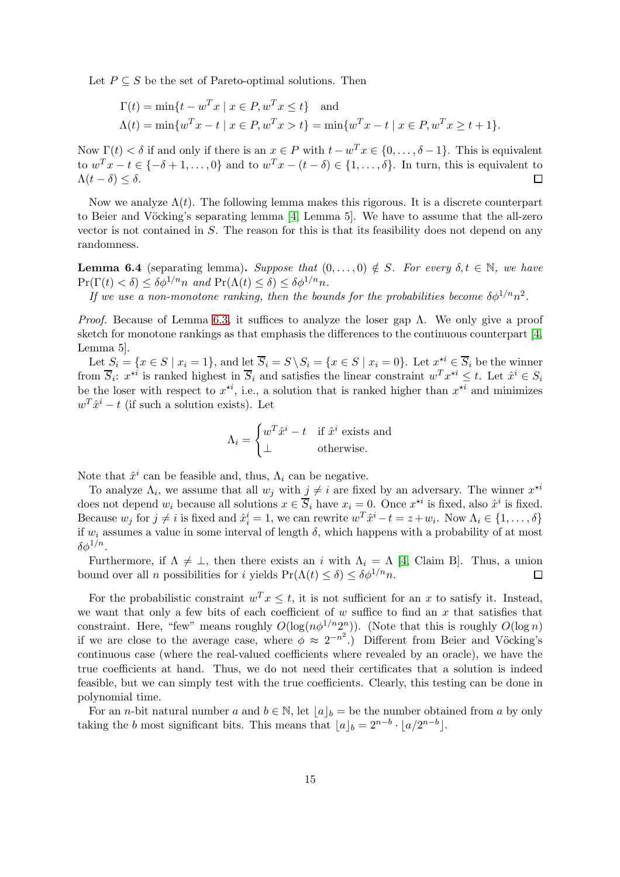Let  $P \subseteq S$  be the set of Pareto-optimal solutions. Then

$$
\Gamma(t) = \min\{t - w^T x \mid x \in P, w^T x \le t\} \text{ and}
$$
  
 
$$
\Lambda(t) = \min\{w^T x - t \mid x \in P, w^T x > t\} = \min\{w^T x - t \mid x \in P, w^T x \ge t + 1\}.
$$

Now  $\Gamma(t) < \delta$  if and only if there is an  $x \in P$  with  $t - w^T x \in \{0, \ldots, \delta - 1\}$ . This is equivalent to  $w^T x - t \in \{-\delta + 1, \ldots, 0\}$  and to  $w^T x - (t - \delta) \in \{1, \ldots, \delta\}$ . In turn, this is equivalent to  $\Lambda(t-\delta) \leq \delta$ .

Now we analyze  $\Lambda(t)$ . The following lemma makes this rigorous. It is a discrete counterpart to Beier and Vöcking's separating lemma  $[4, \text{ Lemma 5}].$  We have to assume that the all-zero vector is not contained in S. The reason for this is that its feasibility does not depend on any randomness.

<span id="page-14-0"></span>**Lemma 6.4** (separating lemma). Suppose that  $(0, \ldots, 0) \notin S$ . For every  $\delta, t \in \mathbb{N}$ , we have  $\Pr(\Gamma(t) < \delta) \leq \delta \phi^{1/n} n$  and  $\Pr(\Lambda(t) \leq \delta) \leq \delta \phi^{1/n} n$ .

If we use a non-monotone ranking, then the bounds for the probabilities become  $\delta \phi^{1/n} n^2$ .

*Proof.* Because of Lemma [6.3,](#page-13-0) it suffices to analyze the loser gap  $\Lambda$ . We only give a proof sketch for monotone rankings as that emphasis the differences to the continuous counterpart [\[4,](#page-19-5) Lemma 5].

Let  $S_i = \{x \in S \mid x_i = 1\}$ , and let  $\overline{S}_i = S \setminus S_i = \{x \in S \mid x_i = 0\}$ . Let  $x^{\star i} \in \overline{S}_i$  be the winner from  $\overline{S}_i$ :  $x^{*i}$  is ranked highest in  $\overline{S}_i$  and satisfies the linear constraint  $w^T x^{*i} \le t$ . Let  $\hat{x}^i \in S_i$ be the loser with respect to  $x^{*i}$ , i.e., a solution that is ranked higher than  $x^{*i}$  and minimizes  $w^T \hat{x}^i - t$  (if such a solution exists). Let

$$
\Lambda_i = \begin{cases} w^T \hat{x}^i - t & \text{if } \hat{x}^i \text{ exists and} \\ \perp & \text{otherwise.} \end{cases}
$$

Note that  $\hat{x}^i$  can be feasible and, thus,  $\Lambda_i$  can be negative.

To analyze  $\Lambda_i$ , we assume that all  $w_j$  with  $j \neq i$  are fixed by an adversary. The winner  $x^{\star i}$ does not depend  $w_i$  because all solutions  $x \in \overline{S}_i$  have  $x_i = 0$ . Once  $x^{*i}$  is fixed, also  $\hat{x}^i$  is fixed. Because  $w_j$  for  $j \neq i$  is fixed and  $\hat{x}_i^i = 1$ , we can rewrite  $w^T \hat{x}^i - t = z + w_i$ . Now  $\Lambda_i \in \{1, ..., \delta\}$ if  $w_i$  assumes a value in some interval of length  $\delta$ , which happens with a probability of at most  $\delta \phi^{1/n}.$ 

Furthermore, if  $\Lambda \neq \bot$ , then there exists an *i* with  $\Lambda_i = \Lambda$  [\[4,](#page-19-5) Claim B]. Thus, a union pund over all *n* possibilities for *i* vields  $Pr(\Lambda(t) \leq \delta) \leq \delta \delta^{1/n} n$ . bound over all *n* possibilities for *i* yields  $Pr(\Lambda(t) \le \delta) \le \delta \phi^{1/n} n$ .

For the probabilistic constraint  $w^T x \leq t$ , it is not sufficient for an x to satisfy it. Instead, we want that only a few bits of each coefficient of  $w$  suffice to find an  $x$  that satisfies that constraint. Here, "few" means roughly  $O(log(n\phi^{1/n}2^n))$ . (Note that this is roughly  $O(log n)$ if we are close to the average case, where  $\phi \approx 2^{-n^2}$ .) Different from Beier and Vöcking's continuous case (where the real-valued coefficients where revealed by an oracle), we have the true coefficients at hand. Thus, we do not need their certificates that a solution is indeed feasible, but we can simply test with the true coefficients. Clearly, this testing can be done in polynomial time.

For an *n*-bit natural number a and  $b \in \mathbb{N}$ , let  $|a|_b =$  be the number obtained from a by only taking the b most significant bits. This means that  $\lfloor a \rfloor_b = 2^{n-b} \cdot \lfloor a/2^{n-b} \rfloor$ .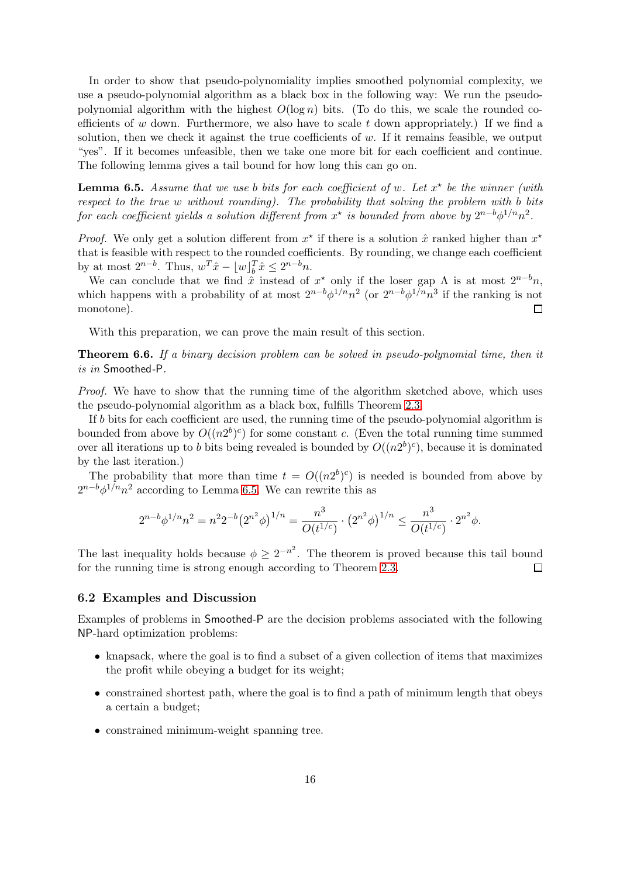In order to show that pseudo-polynomiality implies smoothed polynomial complexity, we use a pseudo-polynomial algorithm as a black box in the following way: We run the pseudopolynomial algorithm with the highest  $O(\log n)$  bits. (To do this, we scale the rounded coefficients of w down. Furthermore, we also have to scale  $t$  down appropriately.) If we find a solution, then we check it against the true coefficients of  $w$ . If it remains feasible, we output "yes". If it becomes unfeasible, then we take one more bit for each coefficient and continue. The following lemma gives a tail bound for how long this can go on.

<span id="page-15-1"></span>**Lemma 6.5.** Assume that we use b bits for each coefficient of w. Let  $x^*$  be the winner (with respect to the true  $w$  without rounding). The probability that solving the problem with b bits for each coefficient yields a solution different from  $x^*$  is bounded from above by  $2^{n-b}\phi^{1/n}n^2$ .

*Proof.* We only get a solution different from  $x^*$  if there is a solution  $\hat{x}$  ranked higher than  $x^*$ that is feasible with respect to the rounded coefficients. By rounding, we change each coefficient by at most  $2^{n-b}$ . Thus,  $w^T \hat{x} - \lfloor w \rfloor_b^T \hat{x} \leq 2^{n-b}n$ .

We can conclude that we find  $\hat{x}$  instead of  $x^*$  only if the loser gap  $\Lambda$  is at most  $2^{n-b}n$ , which happens with a probability of at most  $2^{n-b}\phi^{1/n}n^2$  (or  $2^{n-b}\phi^{1/n}n^3$  if the ranking is not monotone).  $\Box$ 

With this preparation, we can prove the main result of this section.

Theorem 6.6. If a binary decision problem can be solved in pseudo-polynomial time, then it is in Smoothed-P.

Proof. We have to show that the running time of the algorithm sketched above, which uses the pseudo-polynomial algorithm as a black box, fulfills Theorem [2.3.](#page-3-0)

If b bits for each coefficient are used, the running time of the pseudo-polynomial algorithm is bounded from above by  $O((n2^b)^c)$  for some constant c. (Even the total running time summed over all iterations up to b bits being revealed is bounded by  $O((n2^b)^c)$ , because it is dominated by the last iteration.)

The probability that more than time  $t = O((n2^b)^c)$  is needed is bounded from above by  $2^{n-b}\phi^{1/n}n^2$  according to Lemma [6.5.](#page-15-1) We can rewrite this as

$$
2^{n-b}\phi^{1/n}n^2 = n^2 2^{-b} (2^{n^2}\phi)^{1/n} = \frac{n^3}{O(t^{1/c})} \cdot (2^{n^2}\phi)^{1/n} \le \frac{n^3}{O(t^{1/c})} \cdot 2^{n^2}\phi.
$$

The last inequality holds because  $\phi \geq 2^{-n^2}$ . The theorem is proved because this tail bound for the running time is strong enough according to Theorem [2.3.](#page-3-0)  $\Box$ 

## <span id="page-15-0"></span>6.2 Examples and Discussion

Examples of problems in Smoothed-P are the decision problems associated with the following NP-hard optimization problems:

- knapsack, where the goal is to find a subset of a given collection of items that maximizes the profit while obeying a budget for its weight;
- constrained shortest path, where the goal is to find a path of minimum length that obeys a certain a budget;
- constrained minimum-weight spanning tree.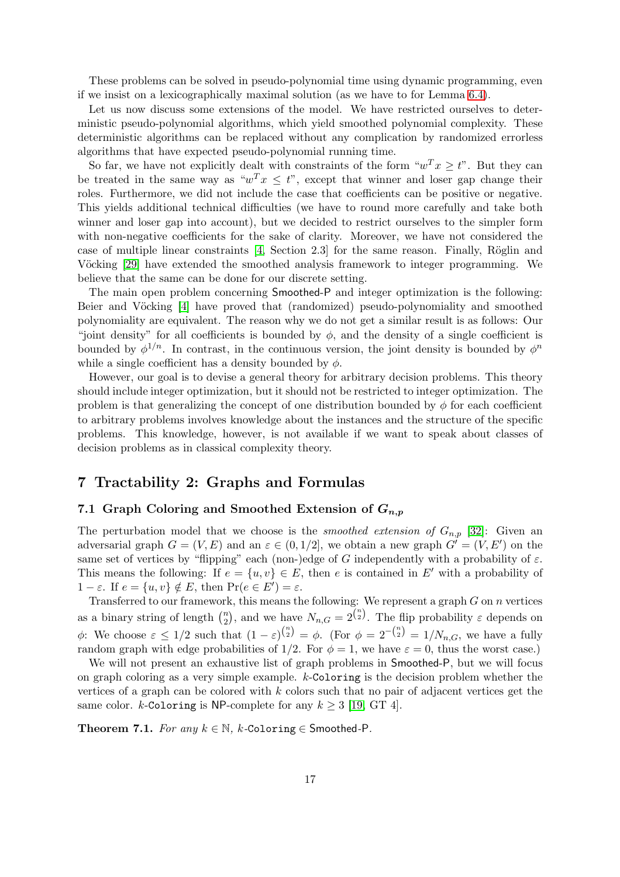These problems can be solved in pseudo-polynomial time using dynamic programming, even if we insist on a lexicographically maximal solution (as we have to for Lemma [6.4\)](#page-14-0).

Let us now discuss some extensions of the model. We have restricted ourselves to deterministic pseudo-polynomial algorithms, which yield smoothed polynomial complexity. These deterministic algorithms can be replaced without any complication by randomized errorless algorithms that have expected pseudo-polynomial running time.

So far, we have not explicitly dealt with constraints of the form " $w^T x \geq t$ ". But they can be treated in the same way as " $w^T x \leq t$ ", except that winner and loser gap change their roles. Furthermore, we did not include the case that coefficients can be positive or negative. This yields additional technical difficulties (we have to round more carefully and take both winner and loser gap into account), but we decided to restrict ourselves to the simpler form with non-negative coefficients for the sake of clarity. Moreover, we have not considered the case of multiple linear constraints  $[4, Section 2.3]$  for the same reason. Finally, Röglin and Vöcking [\[29\]](#page-21-4) have extended the smoothed analysis framework to integer programming. We believe that the same can be done for our discrete setting.

The main open problem concerning Smoothed-P and integer optimization is the following: Beier and Vöcking [\[4\]](#page-19-5) have proved that (randomized) pseudo-polynomiality and smoothed polynomiality are equivalent. The reason why we do not get a similar result is as follows: Our "joint density" for all coefficients is bounded by  $\phi$ , and the density of a single coefficient is bounded by  $\phi^{1/n}$ . In contrast, in the continuous version, the joint density is bounded by  $\phi^n$ while a single coefficient has a density bounded by  $\phi$ .

However, our goal is to devise a general theory for arbitrary decision problems. This theory should include integer optimization, but it should not be restricted to integer optimization. The problem is that generalizing the concept of one distribution bounded by  $\phi$  for each coefficient to arbitrary problems involves knowledge about the instances and the structure of the specific problems. This knowledge, however, is not available if we want to speak about classes of decision problems as in classical complexity theory.

# <span id="page-16-0"></span>7 Tractability 2: Graphs and Formulas

## 7.1 Graph Coloring and Smoothed Extension of  $G_{n,p}$

The perturbation model that we choose is the *smoothed extension of*  $G_{n,p}$  [\[32\]](#page-21-3): Given an adversarial graph  $G = (V, E)$  and an  $\varepsilon \in (0, 1/2]$ , we obtain a new graph  $G' = (V, E')$  on the same set of vertices by "flipping" each (non-)edge of G independently with a probability of  $\varepsilon$ . This means the following: If  $e = \{u, v\} \in E$ , then e is contained in E' with a probability of  $1 - \varepsilon$ . If  $e = \{u, v\} \notin E$ , then  $\Pr(e \in E') = \varepsilon$ .

Transferred to our framework, this means the following: We represent a graph  $G$  on  $n$  vertices as a binary string of length  $\binom{n}{2}$  $\binom{n}{2}$ , and we have  $N_{n,G} = 2^{\binom{n}{2}}$ . The flip probability  $\varepsilon$  depends on  $\phi$ : We choose  $\varepsilon \leq 1/2$  such that  $(1 - \varepsilon)^{\binom{n}{2}} = \phi$ . (For  $\phi = 2^{-\binom{n}{2}} = 1/N_{n,G}$ , we have a fully random graph with edge probabilities of 1/2. For  $\phi = 1$ , we have  $\varepsilon = 0$ , thus the worst case.)

We will not present an exhaustive list of graph problems in Smoothed-P, but we will focus on graph coloring as a very simple example. k-Coloring is the decision problem whether the vertices of a graph can be colored with  $k$  colors such that no pair of adjacent vertices get the same color. k-Coloring is NP-complete for any  $k \geq 3$  [\[19,](#page-20-11) GT 4].

<span id="page-16-1"></span>Theorem 7.1. For any  $k \in \mathbb{N}$ , k-Coloring  $\in$  Smoothed-P.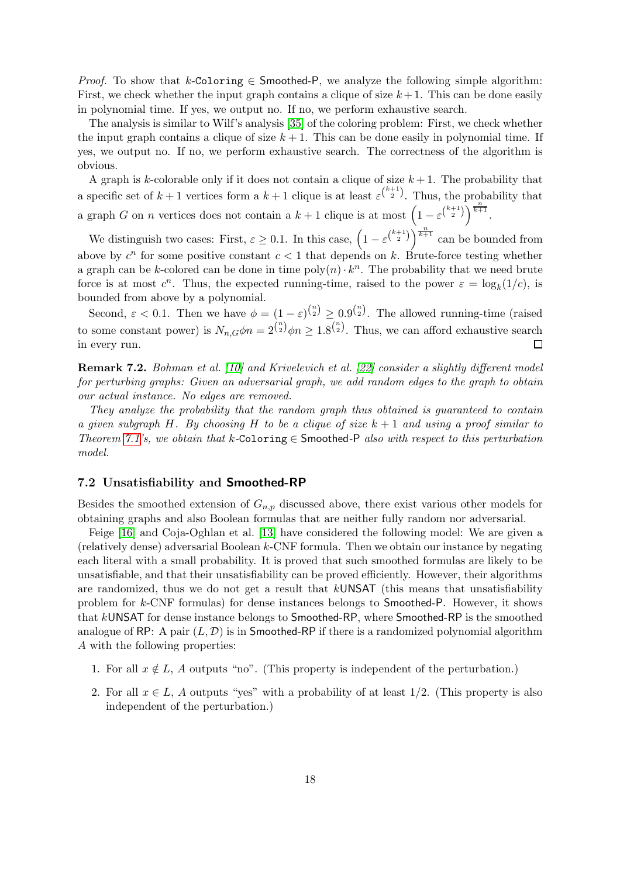*Proof.* To show that k-Coloring  $\in$  Smoothed-P, we analyze the following simple algorithm: First, we check whether the input graph contains a clique of size  $k+1$ . This can be done easily in polynomial time. If yes, we output no. If no, we perform exhaustive search.

The analysis is similar to Wilf's analysis [\[35\]](#page-21-6) of the coloring problem: First, we check whether the input graph contains a clique of size  $k + 1$ . This can be done easily in polynomial time. If yes, we output no. If no, we perform exhaustive search. The correctness of the algorithm is obvious.

A graph is k-colorable only if it does not contain a clique of size  $k + 1$ . The probability that a specific set of  $k+1$  vertices form a  $k+1$  clique is at least  $\varepsilon^{k+1}$ . Thus, the probability that a graph G on n vertices does not contain a  $k + 1$  clique is at most  $\left(1 - \varepsilon^{\binom{k+1}{2}}\right)^{\frac{n}{k+1}}$ .

We distinguish two cases: First,  $\varepsilon \geq 0.1$ . In this case,  $\left(1 - \varepsilon^{\binom{k+1}{2}}\right)^{\frac{n}{k+1}}$  can be bounded from above by  $c^n$  for some positive constant  $c < 1$  that depends on k. Brute-force testing whether a graph can be k-colored can be done in time  $poly(n) \cdot k^n$ . The probability that we need brute force is at most  $c^n$ . Thus, the expected running-time, raised to the power  $\varepsilon = \log_k(1/c)$ , is bounded from above by a polynomial.

Second,  $\varepsilon < 0.1$ . Then we have  $\phi = (1 - \varepsilon)^{n \choose 2} \geq 0.9^{n \choose 2}$ . The allowed running-time (raised to some constant power) is  $N_{n,G}\phi n = 2^{\binom{n}{2}}\phi n \ge 1.8^{\binom{n}{2}}$ . Thus, we can afford exhaustive search in every run.  $\Box$ 

Remark 7.2. Bohman et al. [\[10\]](#page-19-8) and Krivelevich et al. [\[22\]](#page-20-12) consider a slightly different model for perturbing graphs: Given an adversarial graph, we add random edges to the graph to obtain our actual instance. No edges are removed.

They analyze the probability that the random graph thus obtained is guaranteed to contain a given subgraph H. By choosing H to be a clique of size  $k + 1$  and using a proof similar to Theorem [7.1'](#page-16-1)s, we obtain that k-Coloring  $\in$  Smoothed-P also with respect to this perturbation model.

#### 7.2 Unsatisfiability and Smoothed-RP

Besides the smoothed extension of  $G_{n,p}$  discussed above, there exist various other models for obtaining graphs and also Boolean formulas that are neither fully random nor adversarial.

Feige [\[16\]](#page-20-13) and Coja-Oghlan et al. [\[13\]](#page-20-14) have considered the following model: We are given a (relatively dense) adversarial Boolean k-CNF formula. Then we obtain our instance by negating each literal with a small probability. It is proved that such smoothed formulas are likely to be unsatisfiable, and that their unsatisfiability can be proved efficiently. However, their algorithms are randomized, thus we do not get a result that kUNSAT (this means that unsatisfiability problem for k-CNF formulas) for dense instances belongs to Smoothed-P. However, it shows that kUNSAT for dense instance belongs to Smoothed-RP, where Smoothed-RP is the smoothed analogue of RP: A pair  $(L, \mathcal{D})$  is in Smoothed-RP if there is a randomized polynomial algorithm A with the following properties:

- 1. For all  $x \notin L$ , A outputs "no". (This property is independent of the perturbation.)
- 2. For all  $x \in L$ , A outputs "yes" with a probability of at least 1/2. (This property is also independent of the perturbation.)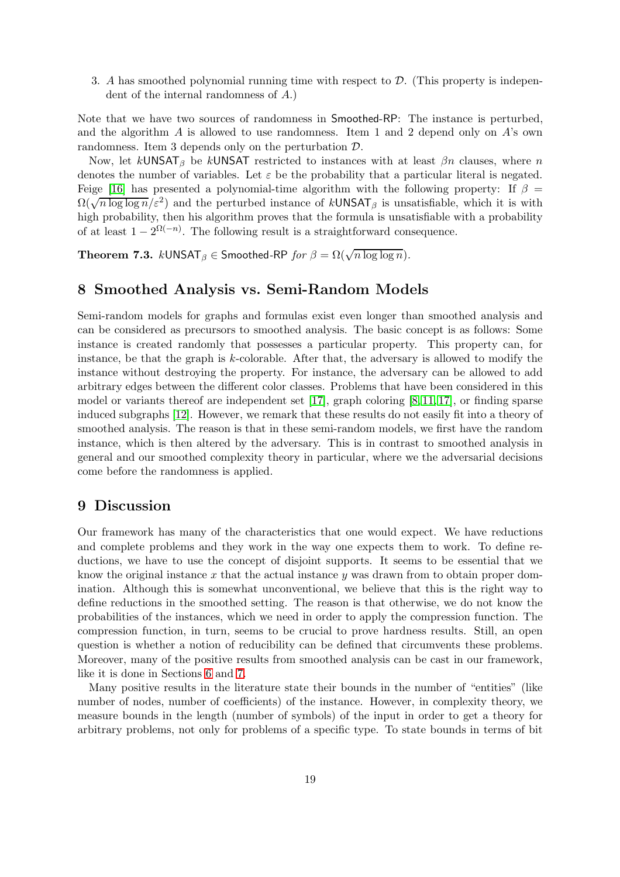3. A has smoothed polynomial running time with respect to  $\mathcal{D}$ . (This property is independent of the internal randomness of A.)

Note that we have two sources of randomness in Smoothed-RP: The instance is perturbed, and the algorithm  $A$  is allowed to use randomness. Item 1 and 2 depend only on  $A$ 's own randomness. Item 3 depends only on the perturbation D.

Now, let  $k$ UNSAT<sub>β</sub> be  $k$ UNSAT restricted to instances with at least  $\beta n$  clauses, where n denotes the number of variables. Let  $\varepsilon$  be the probability that a particular literal is negated. Feige [\[16\]](#page-20-13) has presented a polynomial-time algorithm with the following property: If  $\beta =$  $\Omega(\sqrt{n \log \log n}/\varepsilon^2)$  and the perturbed instance of kUNSAT<sub>β</sub> is unsatisfiable, which it is with high probability, then his algorithm proves that the formula is unsatisfiable with a probability of at least  $1 - 2^{\Omega(-n)}$ . The following result is a straightforward consequence.

**Theorem 7.3.**  $k$ UNSAT $_{\beta} \in$  Smoothed-RP  $\mathit{for} \ \beta = \Omega(\sqrt{n \log \log n})$ .

## <span id="page-18-0"></span>8 Smoothed Analysis vs. Semi-Random Models

Semi-random models for graphs and formulas exist even longer than smoothed analysis and can be considered as precursors to smoothed analysis. The basic concept is as follows: Some instance is created randomly that possesses a particular property. This property can, for instance, be that the graph is  $k$ -colorable. After that, the adversary is allowed to modify the instance without destroying the property. For instance, the adversary can be allowed to add arbitrary edges between the different color classes. Problems that have been considered in this model or variants thereof are independent set  $[17]$ , graph coloring  $[8, 11, 17]$  $[8, 11, 17]$  $[8, 11, 17]$ , or finding sparse induced subgraphs [\[12\]](#page-19-11). However, we remark that these results do not easily fit into a theory of smoothed analysis. The reason is that in these semi-random models, we first have the random instance, which is then altered by the adversary. This is in contrast to smoothed analysis in general and our smoothed complexity theory in particular, where we the adversarial decisions come before the randomness is applied.

## <span id="page-18-1"></span>9 Discussion

Our framework has many of the characteristics that one would expect. We have reductions and complete problems and they work in the way one expects them to work. To define reductions, we have to use the concept of disjoint supports. It seems to be essential that we know the original instance x that the actual instance y was drawn from to obtain proper domination. Although this is somewhat unconventional, we believe that this is the right way to define reductions in the smoothed setting. The reason is that otherwise, we do not know the probabilities of the instances, which we need in order to apply the compression function. The compression function, in turn, seems to be crucial to prove hardness results. Still, an open question is whether a notion of reducibility can be defined that circumvents these problems. Moreover, many of the positive results from smoothed analysis can be cast in our framework, like it is done in Sections [6](#page-11-1) and [7.](#page-16-0)

Many positive results in the literature state their bounds in the number of "entities" (like number of nodes, number of coefficients) of the instance. However, in complexity theory, we measure bounds in the length (number of symbols) of the input in order to get a theory for arbitrary problems, not only for problems of a specific type. To state bounds in terms of bit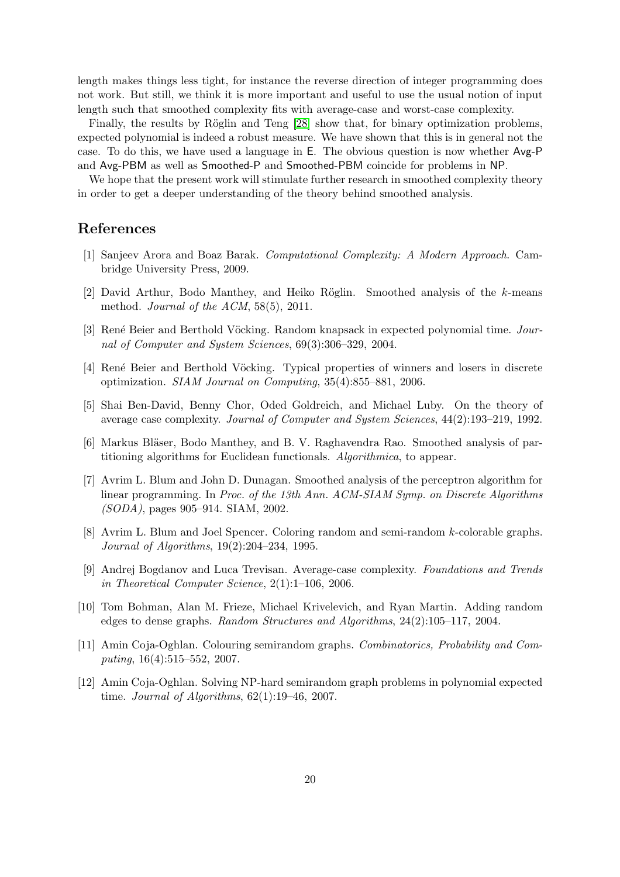length makes things less tight, for instance the reverse direction of integer programming does not work. But still, we think it is more important and useful to use the usual notion of input length such that smoothed complexity fits with average-case and worst-case complexity.

Finally, the results by Röglin and Teng [\[28\]](#page-20-6) show that, for binary optimization problems, expected polynomial is indeed a robust measure. We have shown that this is in general not the case. To do this, we have used a language in E. The obvious question is now whether Avg-P and Avg-PBM as well as Smoothed-P and Smoothed-PBM coincide for problems in NP.

We hope that the present work will stimulate further research in smoothed complexity theory in order to get a deeper understanding of the theory behind smoothed analysis.

## <span id="page-19-6"></span>References

- <span id="page-19-1"></span>[1] Sanjeev Arora and Boaz Barak. Computational Complexity: A Modern Approach. Cambridge University Press, 2009.
- <span id="page-19-2"></span>[2] David Arthur, Bodo Manthey, and Heiko Röglin. Smoothed analysis of the  $k$ -means method. Journal of the ACM, 58(5), 2011.
- [3] René Beier and Berthold Vöcking. Random knapsack in expected polynomial time. Journal of Computer and System Sciences, 69(3):306–329, 2004.
- <span id="page-19-7"></span><span id="page-19-5"></span>[4] René Beier and Berthold Vöcking. Typical properties of winners and losers in discrete optimization. SIAM Journal on Computing, 35(4):855–881, 2006.
- <span id="page-19-3"></span>[5] Shai Ben-David, Benny Chor, Oded Goldreich, and Michael Luby. On the theory of average case complexity. Journal of Computer and System Sciences, 44(2):193–219, 1992.
- <span id="page-19-4"></span>[6] Markus Bläser, Bodo Manthey, and B. V. Raghavendra Rao. Smoothed analysis of partitioning algorithms for Euclidean functionals. Algorithmica, to appear.
- [7] Avrim L. Blum and John D. Dunagan. Smoothed analysis of the perceptron algorithm for linear programming. In Proc. of the 13th Ann. ACM-SIAM Symp. on Discrete Algorithms (SODA), pages 905–914. SIAM, 2002.
- <span id="page-19-9"></span>[8] Avrim L. Blum and Joel Spencer. Coloring random and semi-random k-colorable graphs. Journal of Algorithms, 19(2):204–234, 1995.
- <span id="page-19-0"></span>[9] Andrej Bogdanov and Luca Trevisan. Average-case complexity. Foundations and Trends in Theoretical Computer Science, 2(1):1–106, 2006.
- <span id="page-19-8"></span>[10] Tom Bohman, Alan M. Frieze, Michael Krivelevich, and Ryan Martin. Adding random edges to dense graphs. Random Structures and Algorithms, 24(2):105–117, 2004.
- <span id="page-19-10"></span>[11] Amin Coja-Oghlan. Colouring semirandom graphs. Combinatorics, Probability and Computing, 16(4):515–552, 2007.
- <span id="page-19-11"></span>[12] Amin Coja-Oghlan. Solving NP-hard semirandom graph problems in polynomial expected time. Journal of Algorithms, 62(1):19–46, 2007.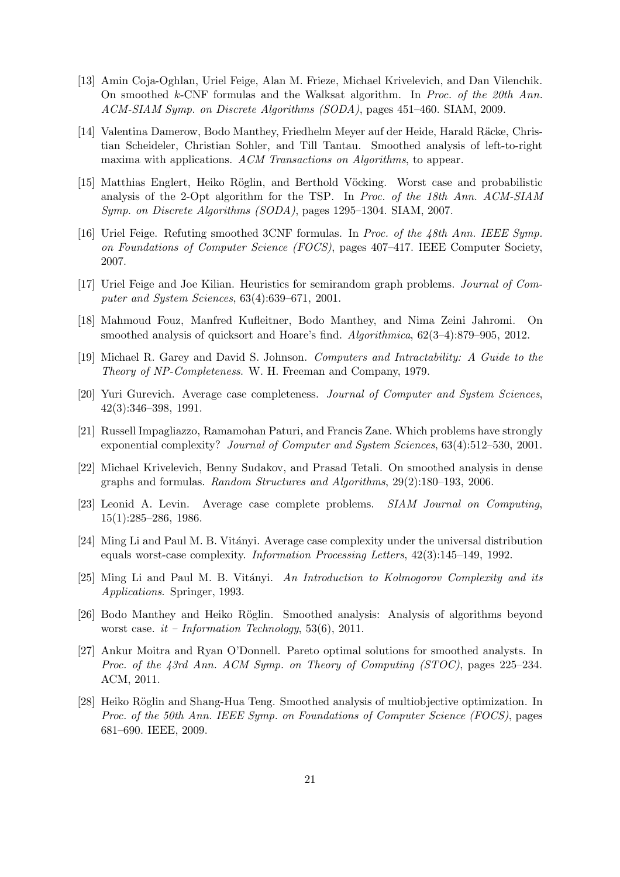- <span id="page-20-14"></span>[13] Amin Coja-Oghlan, Uriel Feige, Alan M. Frieze, Michael Krivelevich, and Dan Vilenchik. On smoothed k-CNF formulas and the Walksat algorithm. In Proc. of the 20th Ann. ACM-SIAM Symp. on Discrete Algorithms (SODA), pages 451–460. SIAM, 2009.
- <span id="page-20-0"></span>[14] Valentina Damerow, Bodo Manthey, Friedhelm Meyer auf der Heide, Harald Räcke, Christian Scheideler, Christian Sohler, and Till Tantau. Smoothed analysis of left-to-right maxima with applications. ACM Transactions on Algorithms, to appear.
- <span id="page-20-1"></span>[15] Matthias Englert, Heiko Röglin, and Berthold Vöcking. Worst case and probabilistic analysis of the 2-Opt algorithm for the TSP. In Proc. of the 18th Ann. ACM-SIAM Symp. on Discrete Algorithms (SODA), pages 1295–1304. SIAM, 2007.
- <span id="page-20-13"></span>[16] Uriel Feige. Refuting smoothed 3CNF formulas. In Proc. of the 48th Ann. IEEE Symp. on Foundations of Computer Science (FOCS), pages 407–417. IEEE Computer Society, 2007.
- <span id="page-20-15"></span><span id="page-20-2"></span>[17] Uriel Feige and Joe Kilian. Heuristics for semirandom graph problems. Journal of Computer and System Sciences, 63(4):639–671, 2001.
- <span id="page-20-11"></span>[18] Mahmoud Fouz, Manfred Kufleitner, Bodo Manthey, and Nima Zeini Jahromi. On smoothed analysis of quicksort and Hoare's find. Algorithmica,  $62(3-4):879-905$ ,  $2012$ .
- <span id="page-20-10"></span>[19] Michael R. Garey and David S. Johnson. Computers and Intractability: A Guide to the Theory of NP-Completeness. W. H. Freeman and Company, 1979.
- <span id="page-20-9"></span>[20] Yuri Gurevich. Average case completeness. Journal of Computer and System Sciences, 42(3):346–398, 1991.
- <span id="page-20-12"></span>[21] Russell Impagliazzo, Ramamohan Paturi, and Francis Zane. Which problems have strongly exponential complexity? Journal of Computer and System Sciences, 63(4):512–530, 2001.
- [22] Michael Krivelevich, Benny Sudakov, and Prasad Tetali. On smoothed analysis in dense graphs and formulas. Random Structures and Algorithms, 29(2):180–193, 2006.
- <span id="page-20-5"></span>[23] Leonid A. Levin. Average case complete problems. SIAM Journal on Computing, 15(1):285–286, 1986.
- <span id="page-20-7"></span>[24] Ming Li and Paul M. B. Vitányi. Average case complexity under the universal distribution equals worst-case complexity. Information Processing Letters, 42(3):145–149, 1992.
- <span id="page-20-8"></span> $[25]$  Ming Li and Paul M. B. Vitányi. An Introduction to Kolmogorov Complexity and its Applications. Springer, 1993.
- <span id="page-20-4"></span>[26] Bodo Manthey and Heiko Röglin. Smoothed analysis: Analysis of algorithms beyond worst case.  $it$  – Information Technology, 53(6), 2011.
- <span id="page-20-3"></span>[27] Ankur Moitra and Ryan O'Donnell. Pareto optimal solutions for smoothed analysts. In Proc. of the 43rd Ann. ACM Symp. on Theory of Computing (STOC), pages 225-234. ACM, 2011.
- <span id="page-20-6"></span>[28] Heiko Röglin and Shang-Hua Teng. Smoothed analysis of multiobjective optimization. In Proc. of the 50th Ann. IEEE Symp. on Foundations of Computer Science (FOCS), pages 681–690. IEEE, 2009.